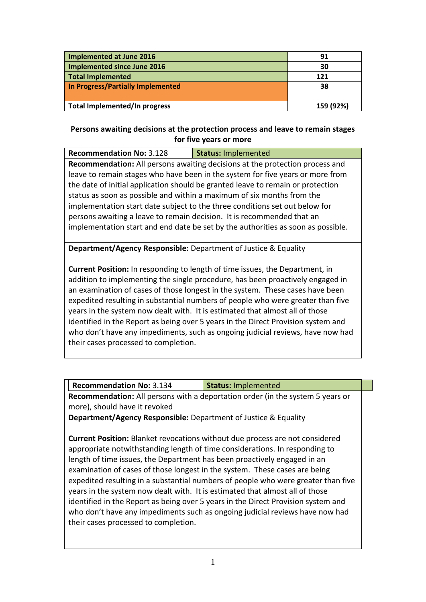| Implemented at June 2016          | 91        |
|-----------------------------------|-----------|
| Implemented since June 2016       | 30        |
| Total Implemented                 | 121       |
| In Progress/Partially Implemented | 38        |
|                                   |           |
| Total Implemented/In progress     | 159 (92%) |

#### **Persons awaiting decisions at the protection process and leave to remain stages for five years or more**

| <b>Recommendation No: 3.128</b>                                                  | <b>Status: Implemented</b> |
|----------------------------------------------------------------------------------|----------------------------|
| Recommendation: All persons awaiting decisions at the protection process and     |                            |
| leave to remain stages who have been in the system for five years or more from   |                            |
| the date of initial application should be granted leave to remain or protection  |                            |
| status as soon as possible and within a maximum of six months from the           |                            |
| implementation start date subject to the three conditions set out below for      |                            |
| persons awaiting a leave to remain decision. It is recommended that an           |                            |
| implementation start and end date be set by the authorities as soon as possible. |                            |
|                                                                                  |                            |

**Department/Agency Responsible:** Department of Justice & Equality

**Current Position:** In responding to length of time issues, the Department, in addition to implementing the single procedure, has been proactively engaged in an examination of cases of those longest in the system. These cases have been expedited resulting in substantial numbers of people who were greater than five years in the system now dealt with. It is estimated that almost all of those identified in the Report as being over 5 years in the Direct Provision system and who don't have any impediments, such as ongoing judicial reviews, have now had their cases processed to completion.

| <b>Recommendation No: 3.134</b> | Status: Implemented                                                                   |
|---------------------------------|---------------------------------------------------------------------------------------|
|                                 | <b>Recommendation:</b> All persons with a deportation order (in the system 5 years or |
| more), should have it revoked   |                                                                                       |

**Department/Agency Responsible:** Department of Justice & Equality

**Current Position:** Blanket revocations without due process are not considered appropriate notwithstanding length of time considerations. In responding to length of time issues, the Department has been proactively engaged in an examination of cases of those longest in the system. These cases are being expedited resulting in a substantial numbers of people who were greater than five years in the system now dealt with. It is estimated that almost all of those identified in the Report as being over 5 years in the Direct Provision system and who don't have any impediments such as ongoing judicial reviews have now had their cases processed to completion.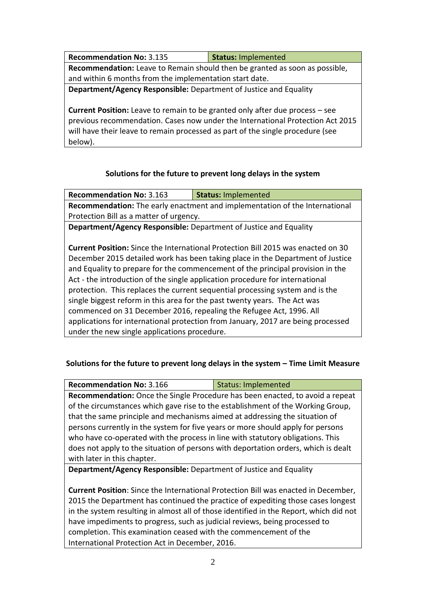**Recommendation No:** 3.135 **Status:** Implemented **Recommendation:** Leave to Remain should then be granted as soon as possible, and within 6 months from the implementation start date. **Department/Agency Responsible:** Department of Justice and Equality **Current Position:** Leave to remain to be granted only after due process – see

previous recommendation. Cases now under the International Protection Act 2015 will have their leave to remain processed as part of the single procedure (see below).

# **Solutions for the future to prevent long delays in the system**

**Recommendation No:** 3.163 **Status:** Implemented **Recommendation:** The early enactment and implementation of the International Protection Bill as a matter of urgency.

**Department/Agency Responsible:** Department of Justice and Equality

**Current Position:** Since the International Protection Bill 2015 was enacted on 30 December 2015 detailed work has been taking place in the Department of Justice and Equality to prepare for the commencement of the principal provision in the Act - the introduction of the single application procedure for international protection. This replaces the current sequential processing system and is the single biggest reform in this area for the past twenty years. The Act was commenced on 31 December 2016, repealing the Refugee Act, 1996. All applications for international protection from January, 2017 are being processed under the new single applications procedure.

## **Solutions for the future to prevent long delays in the system – Time Limit Measure**

| <b>Recommendation No: 3.166</b>                                                    | <b>Status: Implemented</b> |
|------------------------------------------------------------------------------------|----------------------------|
| Recommendation: Once the Single Procedure has been enacted, to avoid a repeat      |                            |
| of the circumstances which gave rise to the establishment of the Working Group,    |                            |
| that the same principle and mechanisms aimed at addressing the situation of        |                            |
| persons currently in the system for five years or more should apply for persons    |                            |
| who have co-operated with the process in line with statutory obligations. This     |                            |
| does not apply to the situation of persons with deportation orders, which is dealt |                            |
| with later in this chapter.                                                        |                            |
|                                                                                    |                            |

**Department/Agency Responsible:** Department of Justice and Equality

**Current Position**: Since the International Protection Bill was enacted in December, 2015 the Department has continued the practice of expediting those cases longest in the system resulting in almost all of those identified in the Report, which did not have impediments to progress, such as judicial reviews, being processed to completion. This examination ceased with the commencement of the International Protection Act in December, 2016.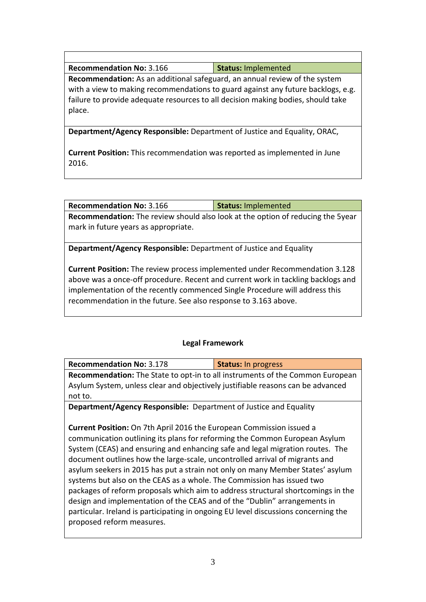| Status: Implemented<br><b>Recommendation No: 3.166</b> |
|--------------------------------------------------------|
|                                                        |

**Recommendation:** As an additional safeguard, an annual review of the system with a view to making recommendations to guard against any future backlogs, e.g. failure to provide adequate resources to all decision making bodies, should take place.

**Department/Agency Responsible:** Department of Justice and Equality, ORAC,

**Current Position:** This recommendation was reported as implemented in June 2016.

**Recommendation:** The review should also look at the option of reducing the 5year mark in future years as appropriate.

**Status:** Implemented

**Department/Agency Responsible:** Department of Justice and Equality

**Current Position:** The review process implemented under Recommendation 3.128 above was a once-off procedure. Recent and current work in tackling backlogs and implementation of the recently commenced Single Procedure will address this recommendation in the future. See also response to 3.163 above.

#### **Legal Framework**

| <b>Recommendation No: 3.178</b>                                                 | <b>Status: In progress</b> |
|---------------------------------------------------------------------------------|----------------------------|
| Recommendation: The State to opt-in to all instruments of the Common European   |                            |
| Asylum System, unless clear and objectively justifiable reasons can be advanced |                            |
| not to.                                                                         |                            |
| <b>Department/Agency Responsible:</b> Department of Justice and Equality        |                            |
|                                                                                 |                            |

**Current Position:** On 7th April 2016 the European Commission issued a communication outlining its plans for reforming the Common European Asylum System (CEAS) and ensuring and enhancing safe and legal migration routes. The document outlines how the large-scale, uncontrolled arrival of migrants and asylum seekers in 2015 has put a strain not only on many Member States' asylum systems but also on the CEAS as a whole. The Commission has issued two packages of reform proposals which aim to address structural shortcomings in the design and implementation of the CEAS and of the "Dublin" arrangements in particular. Ireland is participating in ongoing EU level discussions concerning the proposed reform measures.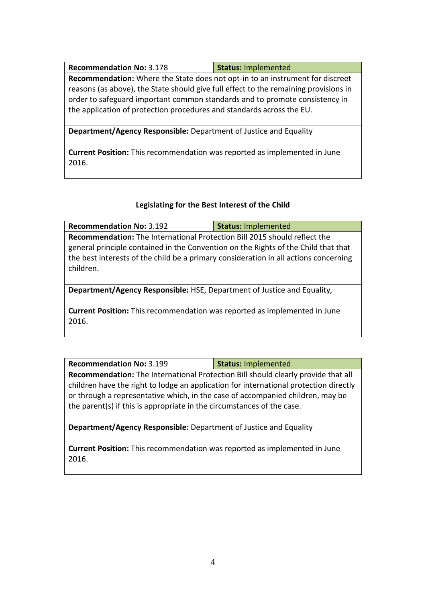| <b>Recommendation No: 3.178</b>                                                                                                                                     | <b>Status: Implemented</b> |
|---------------------------------------------------------------------------------------------------------------------------------------------------------------------|----------------------------|
| <b>Recommendation:</b> Where the State does not opt-in to an instrument for discreet                                                                                |                            |
| reasons (as above), the State should give full effect to the remaining provisions in<br>order to safeguard important common standards and to promote consistency in |                            |
| the application of protection procedures and standards across the EU.                                                                                               |                            |
|                                                                                                                                                                     |                            |
| <b>Department/Agency Responsible:</b> Department of Justice and Equality                                                                                            |                            |

**Current Position:** This recommendation was reported as implemented in June 2016.

## **Legislating for the Best Interest of the Child**

| <b>Recommendation No: 3.192</b>                                                                                                                                                                                                                                      | <b>Status: Implemented</b> |
|----------------------------------------------------------------------------------------------------------------------------------------------------------------------------------------------------------------------------------------------------------------------|----------------------------|
| Recommendation: The International Protection Bill 2015 should reflect the<br>general principle contained in the Convention on the Rights of the Child that that<br>the best interests of the child be a primary consideration in all actions concerning<br>children. |                            |
| Department/Agency Responsible: HSE, Department of Justice and Equality,                                                                                                                                                                                              |                            |
| <b>Current Position:</b> This recommendation was reported as implemented in June                                                                                                                                                                                     |                            |

**Recommendation No:** 3.199 **Status:** Implemented **Recommendation:** The International Protection Bill should clearly provide that all children have the right to lodge an application for international protection directly or through a representative which, in the case of accompanied children, may be the parent(s) if this is appropriate in the circumstances of the case.

**Department/Agency Responsible:** Department of Justice and Equality

2016.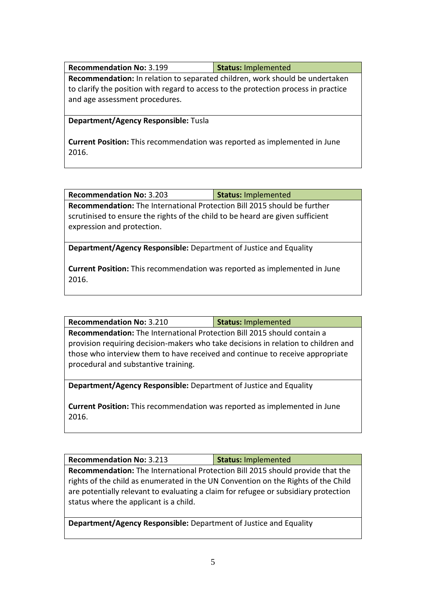| <b>Recommendation No: 3.199</b>                                                                                       | <b>Status: Implemented</b> |
|-----------------------------------------------------------------------------------------------------------------------|----------------------------|
| <b>Recommendation:</b> In relation to separated children, work should be undertaken                                   |                            |
| to clarify the position with regard to access to the protection process in practice<br>and age assessment procedures. |                            |

#### **Department/Agency Responsible:** Tusla

**Current Position:** This recommendation was reported as implemented in June 2016.

| <b>Recommendation No: 3.203</b>                                                 | <b>Status: Implemented</b> |
|---------------------------------------------------------------------------------|----------------------------|
| <b>Recommendation:</b> The International Protection Bill 2015 should be further |                            |
| scrutinised to ensure the rights of the child to be heard are given sufficient  |                            |
| expression and protection.                                                      |                            |

**Department/Agency Responsible:** Department of Justice and Equality

**Current Position:** This recommendation was reported as implemented in June 2016.

**Recommendation:** The International Protection Bill 2015 should contain a provision requiring decision-makers who take decisions in relation to children and those who interview them to have received and continue to receive appropriate procedural and substantive training.

**Department/Agency Responsible:** Department of Justice and Equality

**Current Position:** This recommendation was reported as implemented in June 2016.

| <b>Recommendation No: 3.213</b> | Status: Implemented |
|---------------------------------|---------------------|
|                                 |                     |

**Recommendation:** The International Protection Bill 2015 should provide that the rights of the child as enumerated in the UN Convention on the Rights of the Child are potentially relevant to evaluating a claim for refugee or subsidiary protection status where the applicant is a child.

**Department/Agency Responsible:** Department of Justice and Equality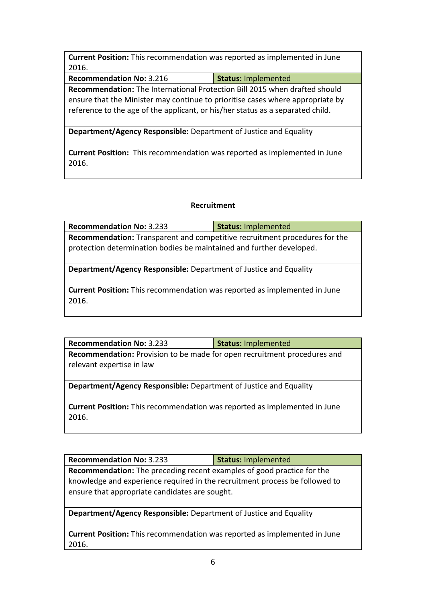**Current Position:** This recommendation was reported as implemented in June 2016.

**Recommendation No:** 3.216 **Status:** Implemented

**Recommendation:** The International Protection Bill 2015 when drafted should ensure that the Minister may continue to prioritise cases where appropriate by reference to the age of the applicant, or his/her status as a separated child.

**Department/Agency Responsible:** Department of Justice and Equality

**Current Position:** This recommendation was reported as implemented in June 2016.

## **Recruitment**

| <b>Recommendation No: 3.233</b>                                            | <b>Status: Implemented</b> |  |
|----------------------------------------------------------------------------|----------------------------|--|
| Recommendation: Transparent and competitive recruitment procedures for the |                            |  |
| protection determination bodies be maintained and further developed.       |                            |  |
|                                                                            |                            |  |

**Department/Agency Responsible:** Department of Justice and Equality

**Current Position:** This recommendation was reported as implemented in June 2016.

| <b>Recommendation No: 3.233</b>                                                                              | <b>Status: Implemented</b> |
|--------------------------------------------------------------------------------------------------------------|----------------------------|
| <b>Recommendation:</b> Provision to be made for open recruitment procedures and<br>relevant expertise in law |                            |

**Department/Agency Responsible:** Department of Justice and Equality

**Current Position:** This recommendation was reported as implemented in June 2016.

**Recommendation No:** 3.233 **Status:** Implemented **Recommendation:** The preceding recent examples of good practice for the knowledge and experience required in the recruitment process be followed to ensure that appropriate candidates are sought.

**Department/Agency Responsible:** Department of Justice and Equality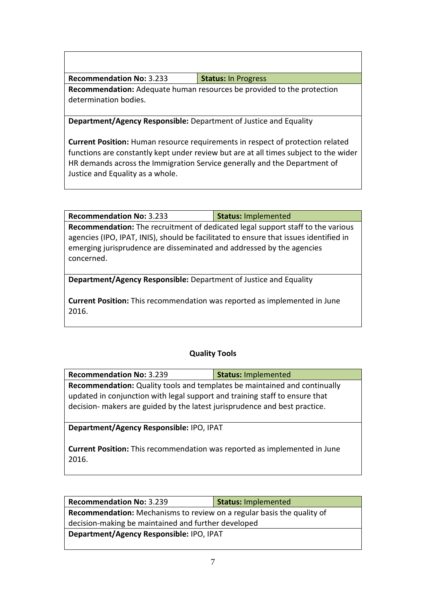| <b>Recommendation No: 3.233</b> | Status: In Progress |
|---------------------------------|---------------------|
|---------------------------------|---------------------|

**Recommendation:** Adequate human resources be provided to the protection determination bodies.

**Department/Agency Responsible:** Department of Justice and Equality

**Current Position:** Human resource requirements in respect of protection related functions are constantly kept under review but are at all times subject to the wider HR demands across the Immigration Service generally and the Department of Justice and Equality as a whole.

**Recommendation No:** 3.233 **Status:** Implemented

**Recommendation:** The recruitment of dedicated legal support staff to the various agencies (IPO, IPAT, INIS), should be facilitated to ensure that issues identified in emerging jurisprudence are disseminated and addressed by the agencies concerned.

**Department/Agency Responsible:** Department of Justice and Equality

**Current Position:** This recommendation was reported as implemented in June 2016.

## **Quality Tools**

| <b>Recommendation No: 3.239</b>                                             | Status: Implemented |  |
|-----------------------------------------------------------------------------|---------------------|--|
| Recommendation: Quality tools and templates be maintained and continually   |                     |  |
| updated in conjunction with legal support and training staff to ensure that |                     |  |
| decision- makers are guided by the latest jurisprudence and best practice.  |                     |  |
|                                                                             |                     |  |

**Department/Agency Responsible:** IPO, IPAT

| <b>Recommendation No: 3.239</b>                                               | <b>Status: Implemented</b> |  |
|-------------------------------------------------------------------------------|----------------------------|--|
| <b>Recommendation:</b> Mechanisms to review on a regular basis the quality of |                            |  |
| decision-making be maintained and further developed                           |                            |  |
| Department/Agency Responsible: IPO, IPAT                                      |                            |  |
|                                                                               |                            |  |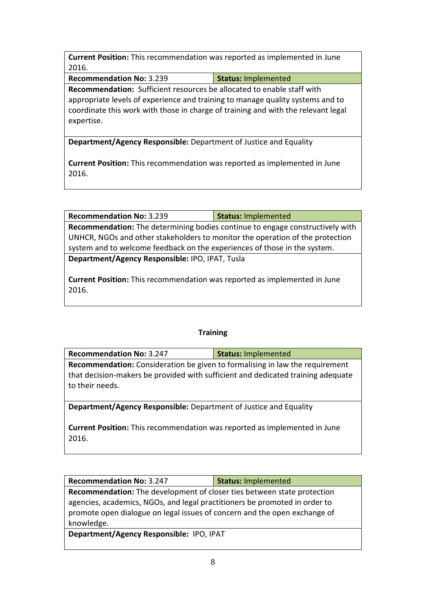**Current Position:** This recommendation was reported as implemented in June 2016.

**Recommendation No:** 3.239 **Status:** Implemented

**Recommendation:** Sufficient resources be allocated to enable staff with appropriate levels of experience and training to manage quality systems and to coordinate this work with those in charge of training and with the relevant legal expertise.

**Department/Agency Responsible:** Department of Justice and Equality

**Current Position:** This recommendation was reported as implemented in June 2016.

**Recommendation No:** 3.239 **Status:** Implemented

**Recommendation:** The determining bodies continue to engage constructively with UNHCR, NGOs and other stakeholders to monitor the operation of the protection system and to welcome feedback on the experiences of those in the system.

**Department/Agency Responsible:** IPO, IPAT, Tusla

**Current Position:** This recommendation was reported as implemented in June 2016.

#### **Training**

| <b>Recommendation No: 3.247</b>                                                     | <b>Status: Implemented</b> |  |
|-------------------------------------------------------------------------------------|----------------------------|--|
| <b>Recommendation:</b> Consideration be given to formalising in law the requirement |                            |  |
| that decision-makers be provided with sufficient and dedicated training adequate    |                            |  |
| to their needs.                                                                     |                            |  |

**Department/Agency Responsible:** Department of Justice and Equality

**Current Position:** This recommendation was reported as implemented in June 2016.

| <b>Recommendation No: 3.247</b>                                                | <b>Status: Implemented</b> |  |
|--------------------------------------------------------------------------------|----------------------------|--|
| <b>Recommendation:</b> The development of closer ties between state protection |                            |  |
| agencies, academics, NGOs, and legal practitioners be promoted in order to     |                            |  |
| promote open dialogue on legal issues of concern and the open exchange of      |                            |  |
| knowledge.                                                                     |                            |  |
|                                                                                |                            |  |

**Department/Agency Responsible:** IPO, IPAT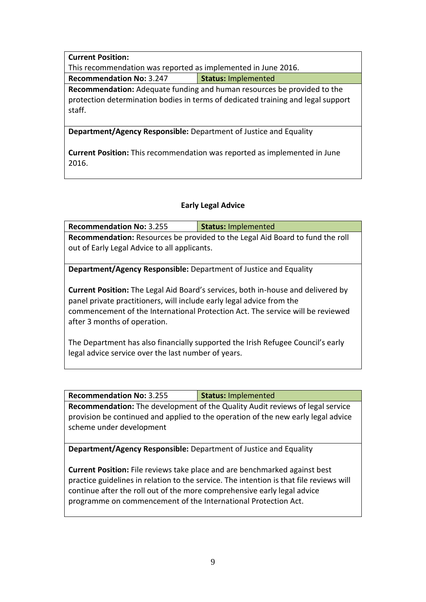#### **Current Position:**

This recommendation was reported as implemented in June 2016.

**Recommendation No:** 3.247 **Status:** Implemented

**Recommendation:** Adequate funding and human resources be provided to the protection determination bodies in terms of dedicated training and legal support staff.

**Department/Agency Responsible:** Department of Justice and Equality

**Current Position:** This recommendation was reported as implemented in June 2016.

#### **Early Legal Advice**

| <b>Recommendation No: 3.255</b>                                                                                                                                                                                                                                                    | <b>Status: Implemented</b>                                                           |  |
|------------------------------------------------------------------------------------------------------------------------------------------------------------------------------------------------------------------------------------------------------------------------------------|--------------------------------------------------------------------------------------|--|
|                                                                                                                                                                                                                                                                                    | <b>Recommendation:</b> Resources be provided to the Legal Aid Board to fund the roll |  |
| out of Early Legal Advice to all applicants.                                                                                                                                                                                                                                       |                                                                                      |  |
|                                                                                                                                                                                                                                                                                    |                                                                                      |  |
| <b>Department/Agency Responsible:</b> Department of Justice and Equality                                                                                                                                                                                                           |                                                                                      |  |
| <b>Current Position:</b> The Legal Aid Board's services, both in-house and delivered by<br>panel private practitioners, will include early legal advice from the<br>commencement of the International Protection Act. The service will be reviewed<br>after 3 months of operation. |                                                                                      |  |
| The Department has also financially supported the Irish Refugee Council's early<br>legal advice service over the last number of years.                                                                                                                                             |                                                                                      |  |

| <b>Recommendation No: 3.255</b>                                                                               | <b>Status: Implemented</b> |  |
|---------------------------------------------------------------------------------------------------------------|----------------------------|--|
| <b>Recommendation:</b> The development of the Quality Audit reviews of legal service                          |                            |  |
| provision be continued and applied to the operation of the new early legal advice<br>scheme under development |                            |  |

**Department/Agency Responsible:** Department of Justice and Equality

**Current Position:** File reviews take place and are benchmarked against best practice guidelines in relation to the service. The intention is that file reviews will continue after the roll out of the more comprehensive early legal advice programme on commencement of the International Protection Act.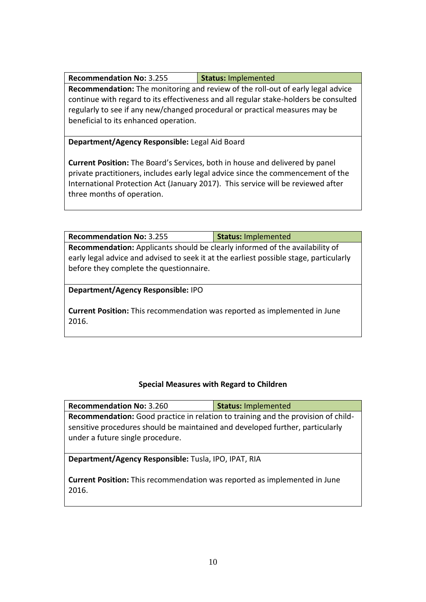| Status: Implemented |
|---------------------|
|                     |

**Recommendation:** The monitoring and review of the roll-out of early legal advice continue with regard to its effectiveness and all regular stake-holders be consulted regularly to see if any new/changed procedural or practical measures may be beneficial to its enhanced operation.

**Department/Agency Responsible:** Legal Aid Board

**Current Position:** The Board's Services, both in house and delivered by panel private practitioners, includes early legal advice since the commencement of the International Protection Act (January 2017). This service will be reviewed after three months of operation.

**Recommendation No:** 3.255 **Status:** Implemented **Recommendation:** Applicants should be clearly informed of the availability of early legal advice and advised to seek it at the earliest possible stage, particularly before they complete the questionnaire.

**Department/Agency Responsible:** IPO

**Current Position:** This recommendation was reported as implemented in June 2016.

## **Special Measures with Regard to Children**

| <b>Recommendation No: 3.260</b>                                                                                                                                                                        | <b>Status: Implemented</b> |
|--------------------------------------------------------------------------------------------------------------------------------------------------------------------------------------------------------|----------------------------|
| Recommendation: Good practice in relation to training and the provision of child-<br>sensitive procedures should be maintained and developed further, particularly<br>under a future single procedure. |                            |
| Department/Agency Responsible: Tusla, IPO, IPAT, RIA                                                                                                                                                   |                            |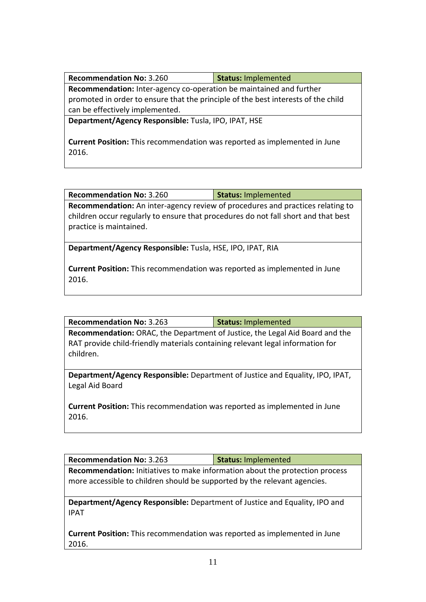| <b>Recommendation No: 3.260</b>                                                   | <b>Status: Implemented</b> |  |
|-----------------------------------------------------------------------------------|----------------------------|--|
| <b>Recommendation:</b> Inter-agency co-operation be maintained and further        |                            |  |
| promoted in order to ensure that the principle of the best interests of the child |                            |  |
| can be effectively implemented.                                                   |                            |  |
| Department/Agency Responsible: Tusla, IPO, IPAT, HSE                              |                            |  |

**Current Position:** This recommendation was reported as implemented in June 2016.

| <b>Recommendation No: 3.260</b> | Status: Implemented |
|---------------------------------|---------------------|
|                                 |                     |

**Recommendation:** An inter-agency review of procedures and practices relating to children occur regularly to ensure that procedures do not fall short and that best practice is maintained.

**Department/Agency Responsible:** Tusla, HSE, IPO, IPAT, RIA

**Current Position:** This recommendation was reported as implemented in June 2016.

| <b>Recommendation No: 3.263</b> | <b>Status: Implemented</b> |
|---------------------------------|----------------------------|
|---------------------------------|----------------------------|

**Recommendation:** ORAC, the Department of Justice, the Legal Aid Board and the RAT provide child-friendly materials containing relevant legal information for children.

**Department/Agency Responsible:** Department of Justice and Equality, IPO, IPAT, Legal Aid Board

**Current Position:** This recommendation was reported as implemented in June 2016.

| <b>Recommendation No: 3.263</b>                                                     | <b>Status: Implemented</b> |  |
|-------------------------------------------------------------------------------------|----------------------------|--|
| <b>Recommendation:</b> Initiatives to make information about the protection process |                            |  |
| more accessible to children should be supported by the relevant agencies.           |                            |  |

**Department/Agency Responsible:** Department of Justice and Equality, IPO and IPAT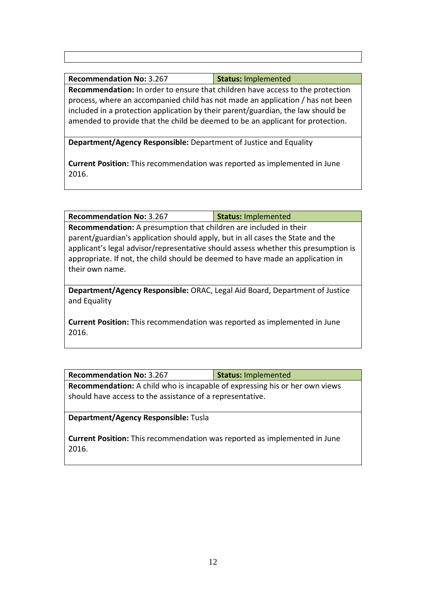### **Recommendation No:** 3.267 **Status:** Implemented

**Recommendation:** In order to ensure that children have access to the protection process, where an accompanied child has not made an application / has not been included in a protection application by their parent/guardian, the law should be amended to provide that the child be deemed to be an applicant for protection.

**Department/Agency Responsible:** Department of Justice and Equality

**Current Position:** This recommendation was reported as implemented in June 2016.

**Recommendation No:** 3.267 **Status:** Implemented

**Recommendation:** A presumption that children are included in their parent/guardian's application should apply, but in all cases the State and the applicant's legal advisor/representative should assess whether this presumption is appropriate. If not, the child should be deemed to have made an application in their own name.

**Department/Agency Responsible:** ORAC, Legal Aid Board, Department of Justice and Equality

**Current Position:** This recommendation was reported as implemented in June 2016.

| <b>Recommendation No: 3.267</b>                                                    | <b>Status: Implemented</b> |  |
|------------------------------------------------------------------------------------|----------------------------|--|
| <b>Recommendation:</b> A child who is incapable of expressing his or her own views |                            |  |
| should have access to the assistance of a representative.                          |                            |  |

**Department/Agency Responsible:** Tusla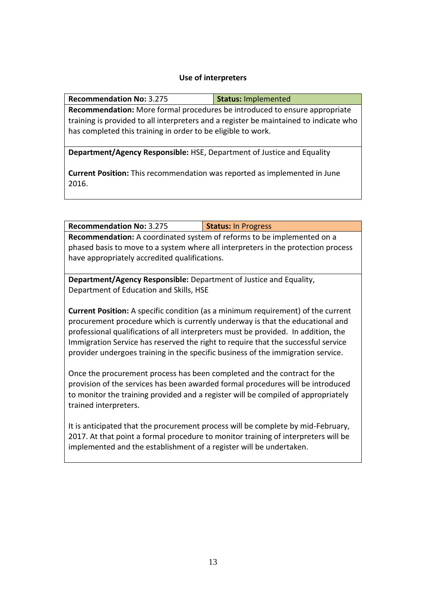#### **Use of interpreters**

| <b>Recommendation No: 3.275</b>                                                       | <b>Status: Implemented</b> |  |
|---------------------------------------------------------------------------------------|----------------------------|--|
| Recommendation: More formal procedures be introduced to ensure appropriate            |                            |  |
| training is provided to all interpreters and a register be maintained to indicate who |                            |  |
| has completed this training in order to be eligible to work.                          |                            |  |

**Department/Agency Responsible:** HSE, Department of Justice and Equality

**Current Position:** This recommendation was reported as implemented in June 2016.

| <b>Recommendation No: 3.275</b>                                                   | <b>Status: In Progress</b> |  |
|-----------------------------------------------------------------------------------|----------------------------|--|
| <b>Recommendation:</b> A coordinated system of reforms to be implemented on a     |                            |  |
| phased basis to move to a system where all interpreters in the protection process |                            |  |
| have appropriately accredited qualifications.                                     |                            |  |

**Department/Agency Responsible:** Department of Justice and Equality, Department of Education and Skills, HSE

**Current Position:** A specific condition (as a minimum requirement) of the current procurement procedure which is currently underway is that the educational and professional qualifications of all interpreters must be provided. In addition, the Immigration Service has reserved the right to require that the successful service provider undergoes training in the specific business of the immigration service.

Once the procurement process has been completed and the contract for the provision of the services has been awarded formal procedures will be introduced to monitor the training provided and a register will be compiled of appropriately trained interpreters.

It is anticipated that the procurement process will be complete by mid-February, 2017. At that point a formal procedure to monitor training of interpreters will be implemented and the establishment of a register will be undertaken.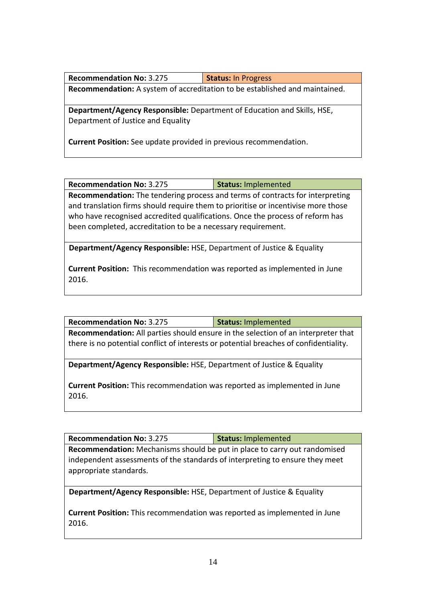| <b>Recommendation No: 3.275</b>                                             | <b>Status: In Progress</b> |
|-----------------------------------------------------------------------------|----------------------------|
| Recommendation: A system of accreditation to be established and maintained. |                            |

**Department/Agency Responsible:** Department of Education and Skills, HSE, Department of Justice and Equality

**Current Position:** See update provided in previous recommendation.

**Recommendation No:** 3.275 **Status:** Implemented

**Recommendation:** The tendering process and terms of contracts for interpreting and translation firms should require them to prioritise or incentivise more those who have recognised accredited qualifications. Once the process of reform has been completed, accreditation to be a necessary requirement.

**Department/Agency Responsible:** HSE, Department of Justice & Equality

**Current Position:** This recommendation was reported as implemented in June 2016.

**Recommendation No:** 3.275 **Status:** Implemented

**Recommendation:** All parties should ensure in the selection of an interpreter that there is no potential conflict of interests or potential breaches of confidentiality.

**Department/Agency Responsible:** HSE, Department of Justice & Equality

**Current Position:** This recommendation was reported as implemented in June 2016.

**Recommendation No:** 3.275 **Status:** Implemented

**Recommendation:** Mechanisms should be put in place to carry out randomised independent assessments of the standards of interpreting to ensure they meet appropriate standards.

**Department/Agency Responsible:** HSE, Department of Justice & Equality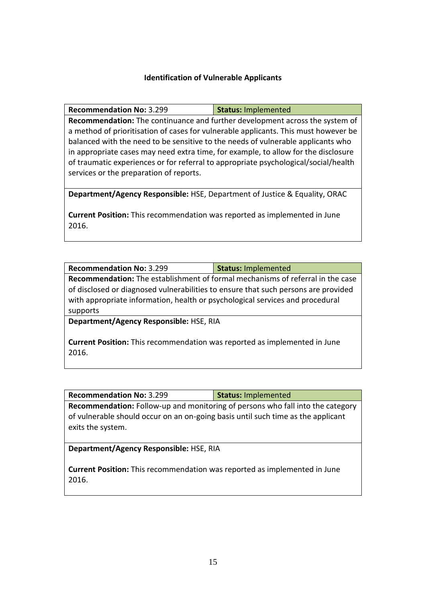#### **Identification of Vulnerable Applicants**

| <b>Recommendation No: 3.299</b>                                                     | Status: Implemented |
|-------------------------------------------------------------------------------------|---------------------|
| <b>Recommendation:</b> The continuance and further development across the system of |                     |

a method of prioritisation of cases for vulnerable applicants. This must however be balanced with the need to be sensitive to the needs of vulnerable applicants who in appropriate cases may need extra time, for example, to allow for the disclosure of traumatic experiences or for referral to appropriate psychological/social/health services or the preparation of reports.

**Department/Agency Responsible:** HSE, Department of Justice & Equality, ORAC

**Current Position:** This recommendation was reported as implemented in June 2016.

| <b>Recommendation No: 3.299</b>                                                                                                                                                                                                                                          | <b>Status: Implemented</b> |
|--------------------------------------------------------------------------------------------------------------------------------------------------------------------------------------------------------------------------------------------------------------------------|----------------------------|
| <b>Recommendation:</b> The establishment of formal mechanisms of referral in the case<br>of disclosed or diagnosed vulnerabilities to ensure that such persons are provided<br>with appropriate information, health or psychological services and procedural<br>supports |                            |
| Department/Agency Responsible: HSE, RIA                                                                                                                                                                                                                                  |                            |
| <b>Current Position:</b> This recommendation was reported as implemented in June                                                                                                                                                                                         |                            |

**Recommendation No:** 3.299 **Status:** Implemented

**Recommendation:** Follow-up and monitoring of persons who fall into the category of vulnerable should occur on an on-going basis until such time as the applicant exits the system.

**Department/Agency Responsible:** HSE, RIA

2016.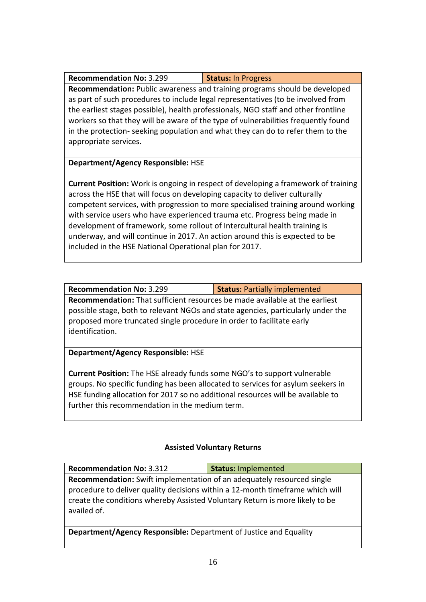| <b>Recommendation No: 3.299</b> | <b>Status: In Progress</b> |
|---------------------------------|----------------------------|
|---------------------------------|----------------------------|

**Recommendation:** Public awareness and training programs should be developed as part of such procedures to include legal representatives (to be involved from the earliest stages possible), health professionals, NGO staff and other frontline workers so that they will be aware of the type of vulnerabilities frequently found in the protection- seeking population and what they can do to refer them to the appropriate services.

## **Department/Agency Responsible:** HSE

**Current Position:** Work is ongoing in respect of developing a framework of training across the HSE that will focus on developing capacity to deliver culturally competent services, with progression to more specialised training around working with service users who have experienced trauma etc. Progress being made in development of framework, some rollout of Intercultural health training is underway, and will continue in 2017. An action around this is expected to be included in the HSE National Operational plan for 2017.

**Recommendation No:** 3.299 **Status:** Partially implemented **Recommendation:** That sufficient resources be made available at the earliest possible stage, both to relevant NGOs and state agencies, particularly under the proposed more truncated single procedure in order to facilitate early identification.

## **Department/Agency Responsible:** HSE

**Current Position:** The HSE already funds some NGO's to support vulnerable groups. No specific funding has been allocated to services for asylum seekers in HSE funding allocation for 2017 so no additional resources will be available to further this recommendation in the medium term.

# **Assisted Voluntary Returns**

| <b>Recommendation No: 3.312</b>                                                                                                                                              | <b>Status: Implemented</b> |  |
|------------------------------------------------------------------------------------------------------------------------------------------------------------------------------|----------------------------|--|
| <b>Recommendation:</b> Swift implementation of an adequately resourced single                                                                                                |                            |  |
| procedure to deliver quality decisions within a 12-month timeframe which will<br>create the conditions whereby Assisted Voluntary Return is more likely to be<br>availed of. |                            |  |
| Department/Agency Responsible: Department of Justice and Equality                                                                                                            |                            |  |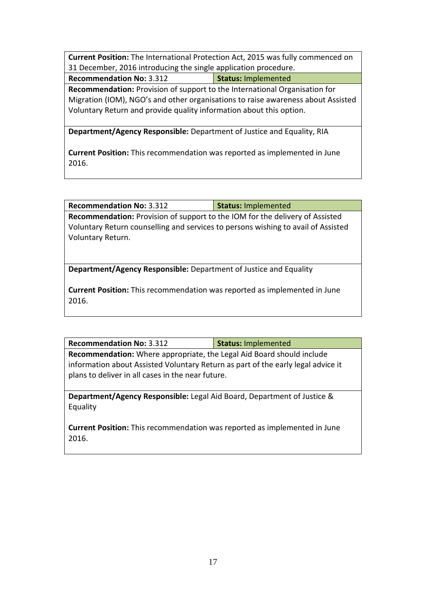**Current Position:** The International Protection Act, 2015 was fully commenced on 31 December, 2016 introducing the single application procedure.

**Recommendation No:** 3.312 **Status:** Implemented

**Recommendation:** Provision of support to the International Organisation for Migration (IOM), NGO's and other organisations to raise awareness about Assisted Voluntary Return and provide quality information about this option.

**Department/Agency Responsible:** Department of Justice and Equality, RIA

**Current Position:** This recommendation was reported as implemented in June 2016.

**Recommendation No:** 3.312 **Status:** Implemented

**Recommendation:** Provision of support to the IOM for the delivery of Assisted Voluntary Return counselling and services to persons wishing to avail of Assisted Voluntary Return.

**Department/Agency Responsible:** Department of Justice and Equality

**Current Position:** This recommendation was reported as implemented in June 2016.

| <b>Recommendation No: 3.312</b> | Status: Implemented |
|---------------------------------|---------------------|
|                                 |                     |

**Recommendation:** Where appropriate, the Legal Aid Board should include information about Assisted Voluntary Return as part of the early legal advice it plans to deliver in all cases in the near future.

**Department/Agency Responsible:** Legal Aid Board, Department of Justice & Equality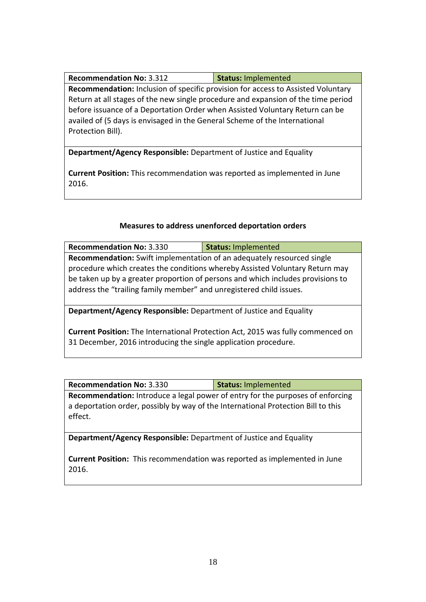| <b>Recommendation No: 3.312</b> | Status: Implemented |
|---------------------------------|---------------------|
|                                 |                     |

**Recommendation:** Inclusion of specific provision for access to Assisted Voluntary Return at all stages of the new single procedure and expansion of the time period before issuance of a Deportation Order when Assisted Voluntary Return can be availed of (5 days is envisaged in the General Scheme of the International Protection Bill).

**Department/Agency Responsible:** Department of Justice and Equality

**Current Position:** This recommendation was reported as implemented in June 2016.

## **Measures to address unenforced deportation orders**

| <b>Recommendation No: 3.330</b>                                                 | <b>Status: Implemented</b> |  |
|---------------------------------------------------------------------------------|----------------------------|--|
| <b>Recommendation:</b> Swift implementation of an adequately resourced single   |                            |  |
| procedure which creates the conditions whereby Assisted Voluntary Return may    |                            |  |
| be taken up by a greater proportion of persons and which includes provisions to |                            |  |
| address the "trailing family member" and unregistered child issues.             |                            |  |
|                                                                                 |                            |  |

**Department/Agency Responsible:** Department of Justice and Equality

**Current Position:** The International Protection Act, 2015 was fully commenced on 31 December, 2016 introducing the single application procedure.

|  | <b>Recommendation No: 3.330</b> | Status: Implemented |
|--|---------------------------------|---------------------|
|--|---------------------------------|---------------------|

**Recommendation:** Introduce a legal power of entry for the purposes of enforcing a deportation order, possibly by way of the International Protection Bill to this effect.

**Department/Agency Responsible:** Department of Justice and Equality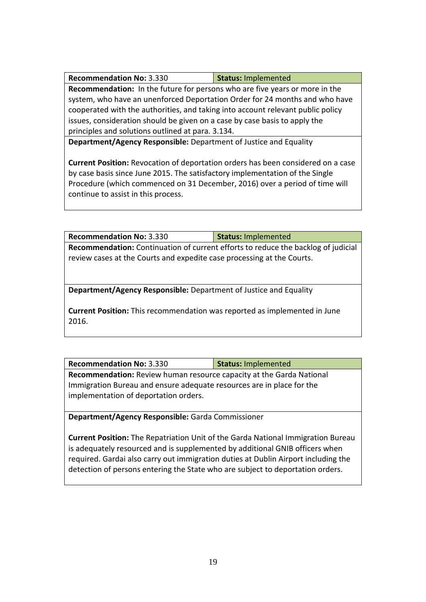| <b>Recommendation No: 3.330</b> | Status: Implemented |
|---------------------------------|---------------------|
|---------------------------------|---------------------|

**Recommendation:** In the future for persons who are five years or more in the system, who have an unenforced Deportation Order for 24 months and who have cooperated with the authorities, and taking into account relevant public policy issues, consideration should be given on a case by case basis to apply the principles and solutions outlined at para. 3.134.

**Department/Agency Responsible:** Department of Justice and Equality

**Current Position:** Revocation of deportation orders has been considered on a case by case basis since June 2015. The satisfactory implementation of the Single Procedure (which commenced on 31 December, 2016) over a period of time will continue to assist in this process.

**Recommendation No:** 3.330 **Status:** Implemented **Recommendation:** Continuation of current efforts to reduce the backlog of judicial review cases at the Courts and expedite case processing at the Courts.

**Department/Agency Responsible:** Department of Justice and Equality

**Current Position:** This recommendation was reported as implemented in June 2016.

| <b>Recommendation No: 3.330</b>                                       | Status: Implemented |  |
|-----------------------------------------------------------------------|---------------------|--|
| Recommendation: Review human resource capacity at the Garda National  |                     |  |
| Immigration Bureau and ensure adequate resources are in place for the |                     |  |
| implementation of deportation orders.                                 |                     |  |

**Department/Agency Responsible:** Garda Commissioner

**Current Position:** The Repatriation Unit of the Garda National Immigration Bureau is adequately resourced and is supplemented by additional GNIB officers when required. Gardai also carry out immigration duties at Dublin Airport including the detection of persons entering the State who are subject to deportation orders.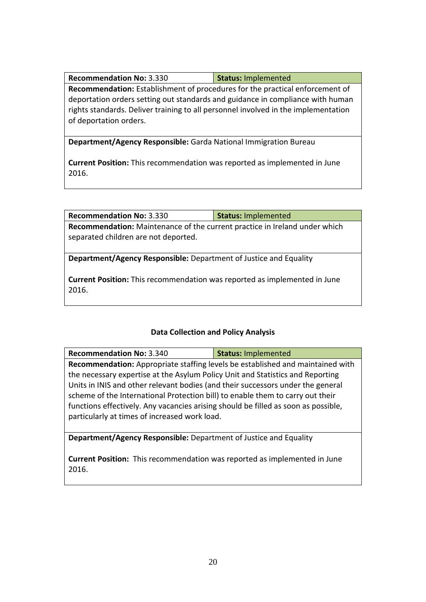| <b>Recommendation No: 3.330</b> | Status: Implemented |
|---------------------------------|---------------------|
|---------------------------------|---------------------|

**Recommendation:** Establishment of procedures for the practical enforcement of deportation orders setting out standards and guidance in compliance with human rights standards. Deliver training to all personnel involved in the implementation of deportation orders.

**Department/Agency Responsible:** Garda National Immigration Bureau

**Current Position:** This recommendation was reported as implemented in June 2016.

| <b>Recommendation No: 3.330</b>                                                  | <b>Status: Implemented</b> |  |
|----------------------------------------------------------------------------------|----------------------------|--|
| Recommendation: Maintenance of the current practice in Ireland under which       |                            |  |
| separated children are not deported.                                             |                            |  |
|                                                                                  |                            |  |
| <b>Department/Agency Responsible:</b> Department of Justice and Equality         |                            |  |
|                                                                                  |                            |  |
| <b>Current Position:</b> This recommendation was reported as implemented in June |                            |  |

**Current Position:** This recommendation was reported as implemented in June 2016.

#### **Data Collection and Policy Analysis**

| <b>Recommendation No: 3.340</b>                                                    | <b>Status: Implemented</b> |  |
|------------------------------------------------------------------------------------|----------------------------|--|
| Recommendation: Appropriate staffing levels be established and maintained with     |                            |  |
| the necessary expertise at the Asylum Policy Unit and Statistics and Reporting     |                            |  |
| Units in INIS and other relevant bodies (and their successors under the general    |                            |  |
| scheme of the International Protection bill) to enable them to carry out their     |                            |  |
| functions effectively. Any vacancies arising should be filled as soon as possible, |                            |  |
| particularly at times of increased work load.                                      |                            |  |
|                                                                                    |                            |  |

**Department/Agency Responsible:** Department of Justice and Equality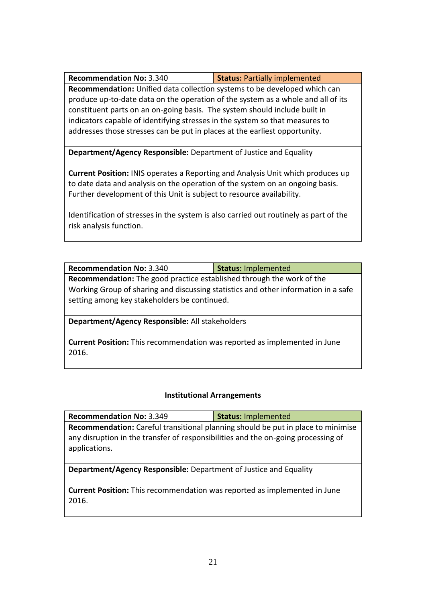| <b>Recommendation No: 3.340</b> | <b>Status: Partially implemented</b> |
|---------------------------------|--------------------------------------|
|---------------------------------|--------------------------------------|

**Recommendation:** Unified data collection systems to be developed which can produce up-to-date data on the operation of the system as a whole and all of its constituent parts on an on-going basis. The system should include built in indicators capable of identifying stresses in the system so that measures to addresses those stresses can be put in places at the earliest opportunity.

**Department/Agency Responsible:** Department of Justice and Equality

**Current Position:** INIS operates a Reporting and Analysis Unit which produces up to date data and analysis on the operation of the system on an ongoing basis. Further development of this Unit is subject to resource availability.

Identification of stresses in the system is also carried out routinely as part of the risk analysis function.

| <b>Recommendation No: 3.340</b>                                                                                                    | <b>Status: Implemented</b> |  |
|------------------------------------------------------------------------------------------------------------------------------------|----------------------------|--|
| <b>Recommendation:</b> The good practice established through the work of the                                                       |                            |  |
| Working Group of sharing and discussing statistics and other information in a safe<br>setting among key stakeholders be continued. |                            |  |
| Department/Agency Responsible: All stakeholders                                                                                    |                            |  |

**Current Position:** This recommendation was reported as implemented in June 2016.

## **Institutional Arrangements**

| <b>Recommendation No: 3.349</b>                                                                                                                                                        | <b>Status: Implemented</b> |  |
|----------------------------------------------------------------------------------------------------------------------------------------------------------------------------------------|----------------------------|--|
| Recommendation: Careful transitional planning should be put in place to minimise<br>any disruption in the transfer of responsibilities and the on-going processing of<br>applications. |                            |  |
| <b>Department/Agency Responsible:</b> Department of Justice and Equality                                                                                                               |                            |  |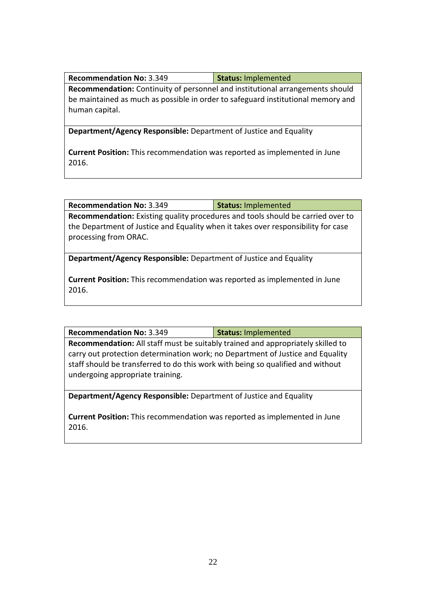|  | <b>Recommendation No: 3.349</b> | Status: Implemented |
|--|---------------------------------|---------------------|
|--|---------------------------------|---------------------|

**Recommendation:** Continuity of personnel and institutional arrangements should be maintained as much as possible in order to safeguard institutional memory and human capital.

**Department/Agency Responsible:** Department of Justice and Equality

**Current Position:** This recommendation was reported as implemented in June 2016.

| <b>Recommendation No: 3.349</b> | Status: Implemented |
|---------------------------------|---------------------|
|---------------------------------|---------------------|

**Recommendation:** Existing quality procedures and tools should be carried over to the Department of Justice and Equality when it takes over responsibility for case processing from ORAC.

**Department/Agency Responsible:** Department of Justice and Equality

**Current Position:** This recommendation was reported as implemented in June 2016.

| <b>Recommendation No: 3.349</b> |  |  |  |  | Status: Implemented |  |  |  |
|---------------------------------|--|--|--|--|---------------------|--|--|--|
|                                 |  |  |  |  |                     |  |  |  |

**Recommendation:** All staff must be suitably trained and appropriately skilled to carry out protection determination work; no Department of Justice and Equality staff should be transferred to do this work with being so qualified and without undergoing appropriate training.

**Department/Agency Responsible:** Department of Justice and Equality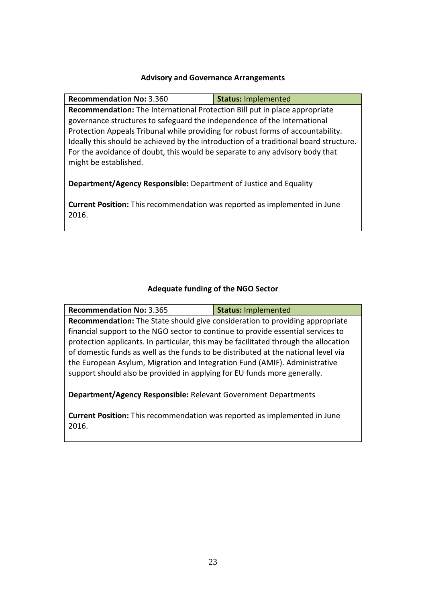#### **Advisory and Governance Arrangements**

**Recommendation No:** 3.360 **Status:** Implemented **Recommendation:** The International Protection Bill put in place appropriate governance structures to safeguard the independence of the International Protection Appeals Tribunal while providing for robust forms of accountability. Ideally this should be achieved by the introduction of a traditional board structure. For the avoidance of doubt, this would be separate to any advisory body that might be established.

**Department/Agency Responsible:** Department of Justice and Equality

**Current Position:** This recommendation was reported as implemented in June 2016.

#### **Adequate funding of the NGO Sector**

| <b>Recommendation No: 3.365</b>                                                      | <b>Status: Implemented</b> |  |  |  |
|--------------------------------------------------------------------------------------|----------------------------|--|--|--|
| <b>Recommendation:</b> The State should give consideration to providing appropriate  |                            |  |  |  |
| financial support to the NGO sector to continue to provide essential services to     |                            |  |  |  |
| protection applicants. In particular, this may be facilitated through the allocation |                            |  |  |  |
| of domestic funds as well as the funds to be distributed at the national level via   |                            |  |  |  |
| the European Asylum, Migration and Integration Fund (AMIF). Administrative           |                            |  |  |  |
| support should also be provided in applying for EU funds more generally.             |                            |  |  |  |

**Department/Agency Responsible:** Relevant Government Departments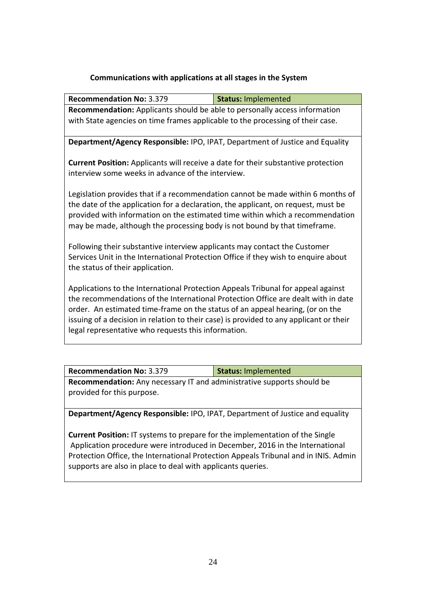#### **Communications with applications at all stages in the System**

| <b>Recommendation No: 3.379</b>                                                                                                                                                                                                                                                                                                                                                                         | <b>Status: Implemented</b> |  |  |  |
|---------------------------------------------------------------------------------------------------------------------------------------------------------------------------------------------------------------------------------------------------------------------------------------------------------------------------------------------------------------------------------------------------------|----------------------------|--|--|--|
| <b>Recommendation:</b> Applicants should be able to personally access information                                                                                                                                                                                                                                                                                                                       |                            |  |  |  |
| with State agencies on time frames applicable to the processing of their case.                                                                                                                                                                                                                                                                                                                          |                            |  |  |  |
|                                                                                                                                                                                                                                                                                                                                                                                                         |                            |  |  |  |
| Department/Agency Responsible: IPO, IPAT, Department of Justice and Equality                                                                                                                                                                                                                                                                                                                            |                            |  |  |  |
| Current Position: Applicants will receive a date for their substantive protection<br>interview some weeks in advance of the interview.                                                                                                                                                                                                                                                                  |                            |  |  |  |
| Legislation provides that if a recommendation cannot be made within 6 months of<br>the date of the application for a declaration, the applicant, on request, must be<br>provided with information on the estimated time within which a recommendation<br>may be made, although the processing body is not bound by that timeframe.                                                                      |                            |  |  |  |
| Following their substantive interview applicants may contact the Customer<br>Services Unit in the International Protection Office if they wish to enquire about<br>the status of their application.                                                                                                                                                                                                     |                            |  |  |  |
| Applications to the International Protection Appeals Tribunal for appeal against<br>the recommendations of the International Protection Office are dealt with in date<br>order. An estimated time-frame on the status of an appeal hearing, (or on the<br>issuing of a decision in relation to their case) is provided to any applicant or their<br>legal representative who requests this information. |                            |  |  |  |

| <b>Recommendation No: 3.379</b><br>Status: Implemented                                                      |  |  |  |  |
|-------------------------------------------------------------------------------------------------------------|--|--|--|--|
| <b>Recommendation:</b> Any necessary IT and administrative supports should be<br>provided for this purpose. |  |  |  |  |
|                                                                                                             |  |  |  |  |

**Department/Agency Responsible:** IPO, IPAT, Department of Justice and equality

**Current Position:** IT systems to prepare for the implementation of the Single Application procedure were introduced in December, 2016 in the International Protection Office, the International Protection Appeals Tribunal and in INIS. Admin supports are also in place to deal with applicants queries.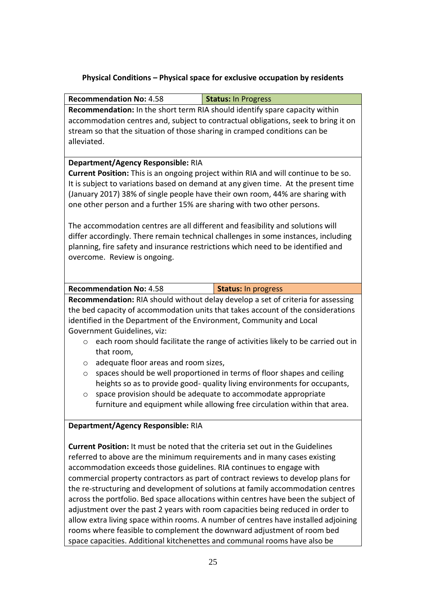# **Physical Conditions – Physical space for exclusive occupation by residents**

| <b>Recommendation No: 4.58</b>                                                        | <b>Status: In Progress</b>                                                          |  |  |  |  |
|---------------------------------------------------------------------------------------|-------------------------------------------------------------------------------------|--|--|--|--|
| Recommendation: In the short term RIA should identify spare capacity within           |                                                                                     |  |  |  |  |
|                                                                                       | accommodation centres and, subject to contractual obligations, seek to bring it on  |  |  |  |  |
| stream so that the situation of those sharing in cramped conditions can be            |                                                                                     |  |  |  |  |
| alleviated.                                                                           |                                                                                     |  |  |  |  |
|                                                                                       |                                                                                     |  |  |  |  |
| Department/Agency Responsible: RIA                                                    |                                                                                     |  |  |  |  |
|                                                                                       | Current Position: This is an ongoing project within RIA and will continue to be so. |  |  |  |  |
|                                                                                       | It is subject to variations based on demand at any given time. At the present time  |  |  |  |  |
|                                                                                       | (January 2017) 38% of single people have their own room, 44% are sharing with       |  |  |  |  |
| one other person and a further 15% are sharing with two other persons.                |                                                                                     |  |  |  |  |
|                                                                                       |                                                                                     |  |  |  |  |
| The accommodation centres are all different and feasibility and solutions will        |                                                                                     |  |  |  |  |
|                                                                                       | differ accordingly. There remain technical challenges in some instances, including  |  |  |  |  |
|                                                                                       | planning, fire safety and insurance restrictions which need to be identified and    |  |  |  |  |
| overcome. Review is ongoing.                                                          |                                                                                     |  |  |  |  |
|                                                                                       |                                                                                     |  |  |  |  |
|                                                                                       |                                                                                     |  |  |  |  |
| <b>Recommendation No: 4.58</b>                                                        | <b>Status: In progress</b>                                                          |  |  |  |  |
|                                                                                       | Recommendation: RIA should without delay develop a set of criteria for assessing    |  |  |  |  |
|                                                                                       | the bed capacity of accommodation units that takes account of the considerations    |  |  |  |  |
| identified in the Department of the Environment, Community and Local                  |                                                                                     |  |  |  |  |
| Government Guidelines, viz:                                                           |                                                                                     |  |  |  |  |
| $\circ$                                                                               | each room should facilitate the range of activities likely to be carried out in     |  |  |  |  |
| that room,                                                                            |                                                                                     |  |  |  |  |
| adequate floor areas and room sizes,<br>O                                             |                                                                                     |  |  |  |  |
| $\circ$                                                                               | spaces should be well proportioned in terms of floor shapes and ceiling             |  |  |  |  |
|                                                                                       | heights so as to provide good- quality living environments for occupants,           |  |  |  |  |
| O                                                                                     | space provision should be adequate to accommodate appropriate                       |  |  |  |  |
| furniture and equipment while allowing free circulation within that area.             |                                                                                     |  |  |  |  |
|                                                                                       |                                                                                     |  |  |  |  |
| Department/Agency Responsible: RIA                                                    |                                                                                     |  |  |  |  |
|                                                                                       |                                                                                     |  |  |  |  |
| <b>Current Position:</b> It must be noted that the criteria set out in the Guidelines |                                                                                     |  |  |  |  |
| referred to above are the minimum requirements and in many cases existing             |                                                                                     |  |  |  |  |
| accommodation exceeds those guidelines. RIA continues to engage with                  |                                                                                     |  |  |  |  |
| commercial property contractors as part of contract reviews to develop plans for      |                                                                                     |  |  |  |  |
| the re-structuring and development of solutions at family accommodation centres       |                                                                                     |  |  |  |  |
| across the portfolio. Bed space allocations within centres have been the subject of   |                                                                                     |  |  |  |  |
|                                                                                       | adjustment over the past 2 years with room capacities being reduced in order to     |  |  |  |  |
|                                                                                       | allow extra living space within rooms. A number of centres have installed adjoining |  |  |  |  |
|                                                                                       | rooms where feasible to complement the downward adjustment of room bed              |  |  |  |  |
| space capacities. Additional kitchenettes and communal rooms have also be             |                                                                                     |  |  |  |  |
|                                                                                       |                                                                                     |  |  |  |  |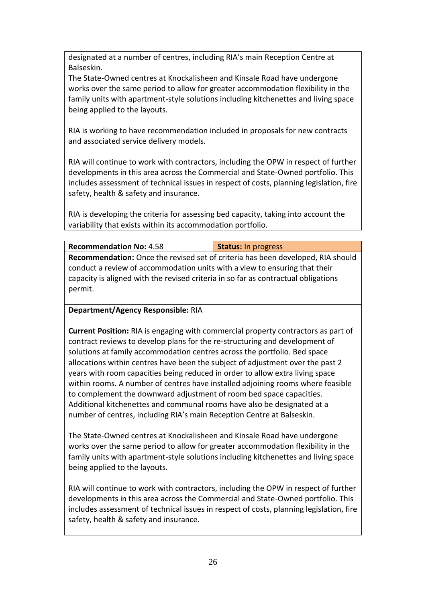designated at a number of centres, including RIA's main Reception Centre at Balseskin.

The State-Owned centres at Knockalisheen and Kinsale Road have undergone works over the same period to allow for greater accommodation flexibility in the family units with apartment-style solutions including kitchenettes and living space being applied to the layouts.

RIA is working to have recommendation included in proposals for new contracts and associated service delivery models.

RIA will continue to work with contractors, including the OPW in respect of further developments in this area across the Commercial and State-Owned portfolio. This includes assessment of technical issues in respect of costs, planning legislation, fire safety, health & safety and insurance.

RIA is developing the criteria for assessing bed capacity, taking into account the variability that exists within its accommodation portfolio.

| <b>Recommendation No: 4.58</b>                                                     | <b>Status: In progress</b> |  |  |  |
|------------------------------------------------------------------------------------|----------------------------|--|--|--|
| Recommendation: Once the revised set of criteria has been developed, RIA should    |                            |  |  |  |
| conduct a review of accommodation units with a view to ensuring that their         |                            |  |  |  |
| capacity is aligned with the revised criteria in so far as contractual obligations |                            |  |  |  |
| permit.                                                                            |                            |  |  |  |

## **Department/Agency Responsible:** RIA

**Current Position:** RIA is engaging with commercial property contractors as part of contract reviews to develop plans for the re-structuring and development of solutions at family accommodation centres across the portfolio. Bed space allocations within centres have been the subject of adjustment over the past 2 years with room capacities being reduced in order to allow extra living space within rooms. A number of centres have installed adjoining rooms where feasible to complement the downward adjustment of room bed space capacities. Additional kitchenettes and communal rooms have also be designated at a number of centres, including RIA's main Reception Centre at Balseskin.

The State-Owned centres at Knockalisheen and Kinsale Road have undergone works over the same period to allow for greater accommodation flexibility in the family units with apartment-style solutions including kitchenettes and living space being applied to the layouts.

RIA will continue to work with contractors, including the OPW in respect of further developments in this area across the Commercial and State-Owned portfolio. This includes assessment of technical issues in respect of costs, planning legislation, fire safety, health & safety and insurance.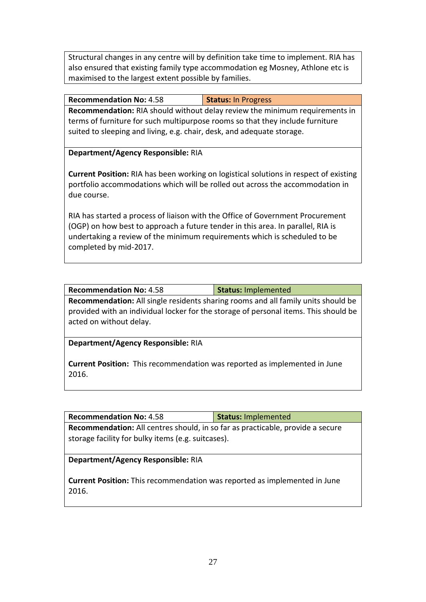Structural changes in any centre will by definition take time to implement. RIA has also ensured that existing family type accommodation eg Mosney, Athlone etc is maximised to the largest extent possible by families.

| <b>Recommendation No: 4.58</b>                                                     | <b>Status: In Progress</b> |  |  |  |
|------------------------------------------------------------------------------------|----------------------------|--|--|--|
| <b>Recommendation:</b> RIA should without delay review the minimum requirements in |                            |  |  |  |
| terms of furniture for such multipurpose rooms so that they include furniture      |                            |  |  |  |
| suited to sleeping and living, e.g. chair, desk, and adequate storage.             |                            |  |  |  |

**Department/Agency Responsible:** RIA

**Current Position:** RIA has been working on logistical solutions in respect of existing portfolio accommodations which will be rolled out across the accommodation in due course.

RIA has started a process of liaison with the Office of Government Procurement (OGP) on how best to approach a future tender in this area. In parallel, RIA is undertaking a review of the minimum requirements which is scheduled to be completed by mid-2017.

| <b>Recommendation No: 4.58</b>                                                           | <b>Status: Implemented</b> |  |  |  |
|------------------------------------------------------------------------------------------|----------------------------|--|--|--|
| <b>Recommendation:</b> All single residents sharing rooms and all family units should be |                            |  |  |  |
| provided with an individual locker for the storage of personal items. This should be     |                            |  |  |  |
| acted on without delay.                                                                  |                            |  |  |  |

**Department/Agency Responsible:** RIA

**Current Position:** This recommendation was reported as implemented in June 2016.

| <b>Recommendation No: 4.58</b>                                                                                                       | <b>Status: Implemented</b> |  |  |  |
|--------------------------------------------------------------------------------------------------------------------------------------|----------------------------|--|--|--|
| Recommendation: All centres should, in so far as practicable, provide a secure<br>storage facility for bulky items (e.g. suitcases). |                            |  |  |  |
| Department/Agency Responsible: RIA                                                                                                   |                            |  |  |  |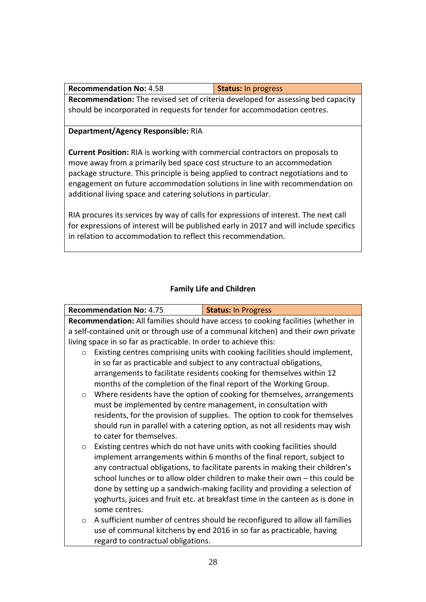| <b>Recommendation No: 4.58</b>                                                          | <b>Status:</b> In progress |  |  |  |
|-----------------------------------------------------------------------------------------|----------------------------|--|--|--|
| <b>Recommendation:</b> The revised set of criteria developed for assessing bed capacity |                            |  |  |  |
| should be incorporated in requests for tender for accommodation centres.                |                            |  |  |  |

#### **Department/Agency Responsible:** RIA

**Current Position:** RIA is working with commercial contractors on proposals to move away from a primarily bed space cost structure to an accommodation package structure. This principle is being applied to contract negotiations and to engagement on future accommodation solutions in line with recommendation on additional living space and catering solutions in particular.

RIA procures its services by way of calls for expressions of interest. The next call for expressions of interest will be published early in 2017 and will include specifics in relation to accommodation to reflect this recommendation.

#### **Family Life and Children**

|                                                                                   | <b>Recommendation No: 4.75</b>                                                    | <b>Status: In Progress</b>                                                     |  |
|-----------------------------------------------------------------------------------|-----------------------------------------------------------------------------------|--------------------------------------------------------------------------------|--|
| Recommendation: All families should have access to cooking facilities (whether in |                                                                                   |                                                                                |  |
|                                                                                   | a self-contained unit or through use of a communal kitchen) and their own private |                                                                                |  |
|                                                                                   | living space in so far as practicable. In order to achieve this:                  |                                                                                |  |
| $\circ$                                                                           | Existing centres comprising units with cooking facilities should implement,       |                                                                                |  |
|                                                                                   |                                                                                   | in so far as practicable and subject to any contractual obligations,           |  |
|                                                                                   |                                                                                   | arrangements to facilitate residents cooking for themselves within 12          |  |
|                                                                                   |                                                                                   | months of the completion of the final report of the Working Group.             |  |
| $\circ$                                                                           |                                                                                   | Where residents have the option of cooking for themselves, arrangements        |  |
|                                                                                   |                                                                                   | must be implemented by centre management, in consultation with                 |  |
|                                                                                   |                                                                                   | residents, for the provision of supplies. The option to cook for themselves    |  |
|                                                                                   |                                                                                   | should run in parallel with a catering option, as not all residents may wish   |  |
|                                                                                   | to cater for themselves.                                                          |                                                                                |  |
| $\circ$                                                                           |                                                                                   | Existing centres which do not have units with cooking facilities should        |  |
|                                                                                   |                                                                                   | implement arrangements within 6 months of the final report, subject to         |  |
|                                                                                   |                                                                                   | any contractual obligations, to facilitate parents in making their children's  |  |
|                                                                                   |                                                                                   | school lunches or to allow older children to make their own - this could be    |  |
|                                                                                   |                                                                                   | done by setting up a sandwich-making facility and providing a selection of     |  |
|                                                                                   |                                                                                   | yoghurts, juices and fruit etc. at breakfast time in the canteen as is done in |  |
|                                                                                   | some centres.                                                                     |                                                                                |  |
| $\circ$                                                                           |                                                                                   | A sufficient number of centres should be reconfigured to allow all families    |  |
|                                                                                   |                                                                                   | use of communal kitchens by end 2016 in so far as practicable, having          |  |
|                                                                                   | regard to contractual obligations.                                                |                                                                                |  |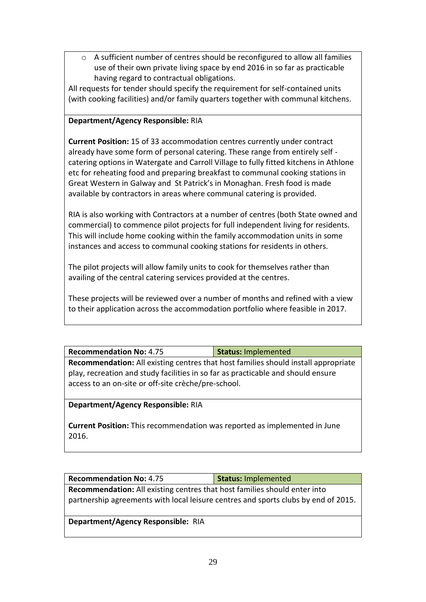o A sufficient number of centres should be reconfigured to allow all families use of their own private living space by end 2016 in so far as practicable having regard to contractual obligations.

All requests for tender should specify the requirement for self-contained units (with cooking facilities) and/or family quarters together with communal kitchens.

## **Department/Agency Responsible:** RIA

**Current Position:** 15 of 33 accommodation centres currently under contract already have some form of personal catering. These range from entirely self catering options in Watergate and Carroll Village to fully fitted kitchens in Athlone etc for reheating food and preparing breakfast to communal cooking stations in Great Western in Galway and St Patrick's in Monaghan. Fresh food is made available by contractors in areas where communal catering is provided.

RIA is also working with Contractors at a number of centres (both State owned and commercial) to commence pilot projects for full independent living for residents. This will include home cooking within the family accommodation units in some instances and access to communal cooking stations for residents in others.

The pilot projects will allow family units to cook for themselves rather than availing of the central catering services provided at the centres.

These projects will be reviewed over a number of months and refined with a view to their application across the accommodation portfolio where feasible in 2017.

| <b>Recommendation No: 4.75</b>                                                     | <b>Status: Implemented</b> |  |
|------------------------------------------------------------------------------------|----------------------------|--|
| Recommendation: All existing centres that host families should install appropriate |                            |  |
| play, recreation and study facilities in so far as practicable and should ensure   |                            |  |
| access to an on-site or off-site crèche/pre-school.                                |                            |  |

#### **Department/Agency Responsible:** RIA

**Current Position:** This recommendation was reported as implemented in June 2016.

**Recommendation No:** 4.75 **Status:** Implemented **Recommendation:** All existing centres that host families should enter into partnership agreements with local leisure centres and sports clubs by end of 2015.

#### **Department/Agency Responsible:** RIA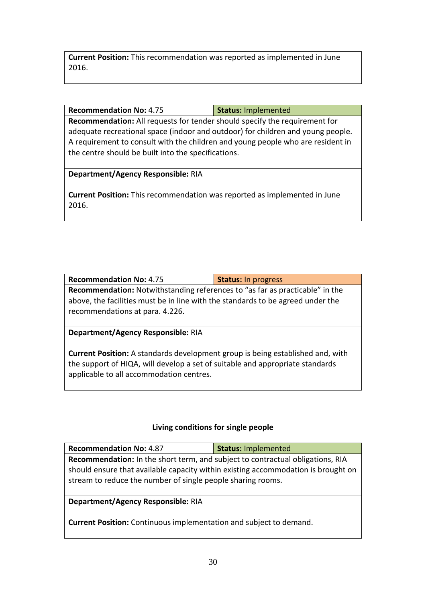**Current Position:** This recommendation was reported as implemented in June 2016.

#### **Recommendation No:** 4.75 **Status:** Implemented

**Recommendation:** All requests for tender should specify the requirement for adequate recreational space (indoor and outdoor) for children and young people. A requirement to consult with the children and young people who are resident in the centre should be built into the specifications.

#### **Department/Agency Responsible:** RIA

**Current Position:** This recommendation was reported as implemented in June 2016.

| <b>Recommendation No: 4.75</b>                                                                                                                                                                            | <b>Status: In progress</b> |  |
|-----------------------------------------------------------------------------------------------------------------------------------------------------------------------------------------------------------|----------------------------|--|
| <b>Recommendation:</b> Notwithstanding references to "as far as practicable" in the<br>above, the facilities must be in line with the standards to be agreed under the<br>recommendations at para. 4.226. |                            |  |
| Department/Agency Responsible: RIA                                                                                                                                                                        |                            |  |

**Current Position:** A standards development group is being established and, with the support of HIQA, will develop a set of suitable and appropriate standards applicable to all accommodation centres.

#### **Living conditions for single people**

| <b>Recommendation No: 4.87</b>                                                        | <b>Status: Implemented</b> |  |
|---------------------------------------------------------------------------------------|----------------------------|--|
| <b>Recommendation:</b> In the short term, and subject to contractual obligations, RIA |                            |  |
| should ensure that available capacity within existing accommodation is brought on     |                            |  |
| stream to reduce the number of single people sharing rooms.                           |                            |  |

#### **Department/Agency Responsible:** RIA

**Current Position:** Continuous implementation and subject to demand.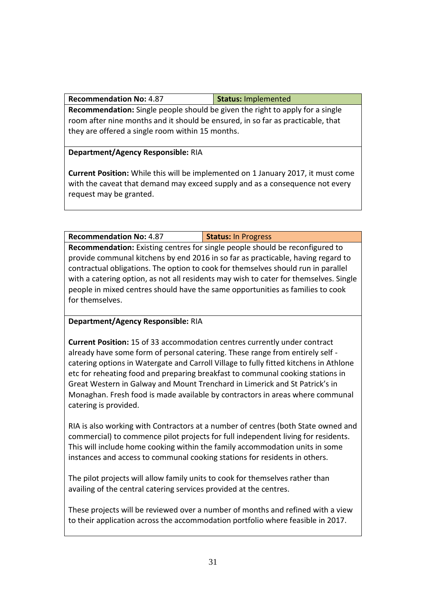**Recommendation No:** 4.87 **Status:** Implemented

**Recommendation:** Single people should be given the right to apply for a single room after nine months and it should be ensured, in so far as practicable, that they are offered a single room within 15 months.

#### **Department/Agency Responsible:** RIA

**Current Position:** While this will be implemented on 1 January 2017, it must come with the caveat that demand may exceed supply and as a consequence not every request may be granted.

## **Recommendation No:** 4.87 **Status:** In Progress

**Recommendation:** Existing centres for single people should be reconfigured to provide communal kitchens by end 2016 in so far as practicable, having regard to contractual obligations. The option to cook for themselves should run in parallel with a catering option, as not all residents may wish to cater for themselves. Single people in mixed centres should have the same opportunities as families to cook for themselves.

#### **Department/Agency Responsible:** RIA

**Current Position:** 15 of 33 accommodation centres currently under contract already have some form of personal catering. These range from entirely self catering options in Watergate and Carroll Village to fully fitted kitchens in Athlone etc for reheating food and preparing breakfast to communal cooking stations in Great Western in Galway and Mount Trenchard in Limerick and St Patrick's in Monaghan. Fresh food is made available by contractors in areas where communal catering is provided.

RIA is also working with Contractors at a number of centres (both State owned and commercial) to commence pilot projects for full independent living for residents. This will include home cooking within the family accommodation units in some instances and access to communal cooking stations for residents in others.

The pilot projects will allow family units to cook for themselves rather than availing of the central catering services provided at the centres.

These projects will be reviewed over a number of months and refined with a view to their application across the accommodation portfolio where feasible in 2017.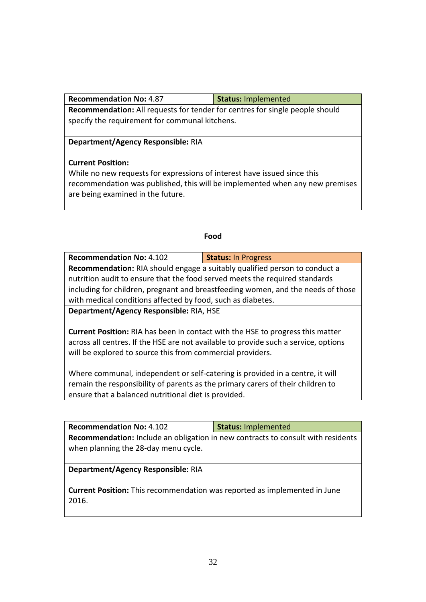**Recommendation No:** 4.87 **Status:** Implemented

**Recommendation:** All requests for tender for centres for single people should specify the requirement for communal kitchens.

### **Department/Agency Responsible:** RIA

## **Current Position:**

While no new requests for expressions of interest have issued since this recommendation was published, this will be implemented when any new premises are being examined in the future.

#### **Food**

| <b>Recommendation No: 4.102</b>                                                   | <b>Status: In Progress</b> |  |
|-----------------------------------------------------------------------------------|----------------------------|--|
| <b>Recommendation:</b> RIA should engage a suitably qualified person to conduct a |                            |  |
| nutrition audit to ensure that the food served meets the required standards       |                            |  |
| including for children, pregnant and breastfeeding women, and the needs of those  |                            |  |
| with medical conditions affected by food, such as diabetes.                       |                            |  |
| Denautusant/Aganau Desnausiklas DIA LICE                                          |                            |  |

**Department/Agency Responsible:** RIA, HSE

**Current Position:** RIA has been in contact with the HSE to progress this matter across all centres. If the HSE are not available to provide such a service, options will be explored to source this from commercial providers.

Where communal, independent or self-catering is provided in a centre, it will remain the responsibility of parents as the primary carers of their children to ensure that a balanced nutritional diet is provided.

**Recommendation No:** 4.102 **Status:** Implemented **Recommendation:** Include an obligation in new contracts to consult with residents when planning the 28-day menu cycle.

## **Department/Agency Responsible:** RIA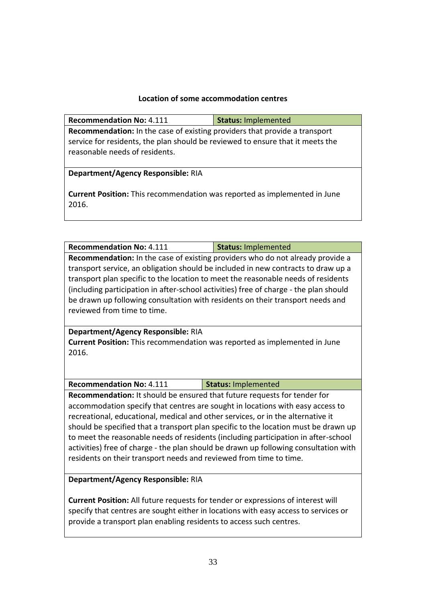#### **Location of some accommodation centres**

| <b>Recommendation No: 4.111</b>                                                           | <b>Status: Implemented</b> |  |
|-------------------------------------------------------------------------------------------|----------------------------|--|
| <b>Recommendation:</b> In the case of existing providers that provide a transport         |                            |  |
| service for residents, the plan should be reviewed to ensure that it meets the            |                            |  |
| reasonable needs of residents.                                                            |                            |  |
|                                                                                           |                            |  |
| Department/Agency Responsible: RIA                                                        |                            |  |
| <b>Current Position:</b> This recommendation was reported as implemented in June<br>2016. |                            |  |

| <b>Recommendation No: 4.111</b>                                                       | <b>Status: Implemented</b> |  |
|---------------------------------------------------------------------------------------|----------------------------|--|
| Recommendation: In the case of existing providers who do not already provide a        |                            |  |
| transport service, an obligation should be included in new contracts to draw up a     |                            |  |
| transport plan specific to the location to meet the reasonable needs of residents     |                            |  |
| (including participation in after-school activities) free of charge - the plan should |                            |  |
| be drawn up following consultation with residents on their transport needs and        |                            |  |
| reviewed from time to time.                                                           |                            |  |

#### **Department/Agency Responsible:** RIA **Current Position:** This recommendation was reported as implemented in June 2016.

| <b>Recommendation No: 4.111</b> | <b>Status: Implemented</b> |
|---------------------------------|----------------------------|
|---------------------------------|----------------------------|

**Recommendation:** It should be ensured that future requests for tender for accommodation specify that centres are sought in locations with easy access to recreational, educational, medical and other services, or in the alternative it should be specified that a transport plan specific to the location must be drawn up to meet the reasonable needs of residents (including participation in after-school activities) free of charge - the plan should be drawn up following consultation with residents on their transport needs and reviewed from time to time.

#### **Department/Agency Responsible:** RIA

**Current Position:** All future requests for tender or expressions of interest will specify that centres are sought either in locations with easy access to services or provide a transport plan enabling residents to access such centres.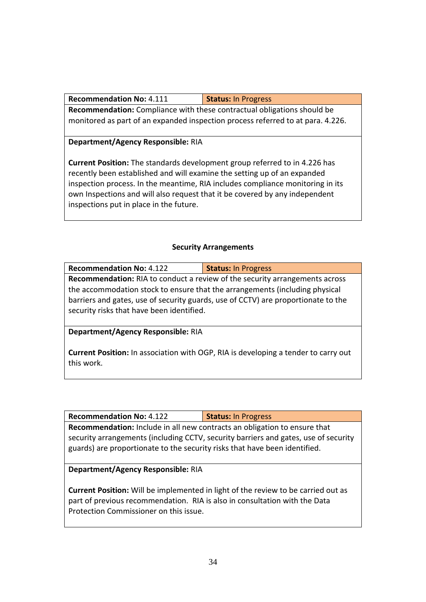**Recommendation:** Compliance with these contractual obligations should be monitored as part of an expanded inspection process referred to at para. 4.226.

**Department/Agency Responsible:** RIA

**Current Position:** The standards development group referred to in 4.226 has recently been established and will examine the setting up of an expanded inspection process. In the meantime, RIA includes compliance monitoring in its own Inspections and will also request that it be covered by any independent inspections put in place in the future.

## **Security Arrangements**

| <b>Recommendation No: 4.122</b>                                                                                                                                                                                                                                                                     | <b>Status: In Progress</b> |  |
|-----------------------------------------------------------------------------------------------------------------------------------------------------------------------------------------------------------------------------------------------------------------------------------------------------|----------------------------|--|
| <b>Recommendation:</b> RIA to conduct a review of the security arrangements across<br>the accommodation stock to ensure that the arrangements (including physical<br>barriers and gates, use of security guards, use of CCTV) are proportionate to the<br>security risks that have been identified. |                            |  |
| Department/Agency Responsible: RIA<br><b>Current Position:</b> In association with OGP, RIA is developing a tender to carry out                                                                                                                                                                     |                            |  |

this work.

| <b>Recommendation No: 4.122</b>                                                  | <b>Status: In Progress</b> |  |
|----------------------------------------------------------------------------------|----------------------------|--|
| <b>Recommendation:</b> Include in all new contracts an obligation to ensure that |                            |  |

**Recommendation:** Include in all new contracts an obligation to ensure that security arrangements (including CCTV, security barriers and gates, use of security guards) are proportionate to the security risks that have been identified.

#### **Department/Agency Responsible:** RIA

**Current Position:** Will be implemented in light of the review to be carried out as part of previous recommendation. RIA is also in consultation with the Data Protection Commissioner on this issue.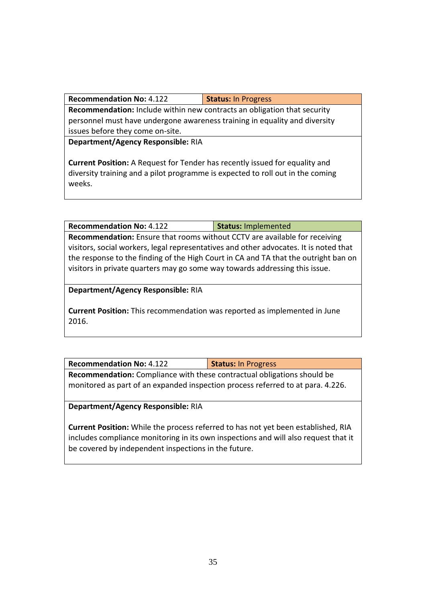**Recommendation No:** 4.122 **Status:** In Progress

**Recommendation:** Include within new contracts an obligation that security personnel must have undergone awareness training in equality and diversity issues before they come on-site.

**Department/Agency Responsible:** RIA

**Current Position:** A Request for Tender has recently issued for equality and diversity training and a pilot programme is expected to roll out in the coming weeks.

**Recommendation No:** 4.122 **Status:** Implemented **Recommendation:** Ensure that rooms without CCTV are available for receiving visitors, social workers, legal representatives and other advocates. It is noted that the response to the finding of the High Court in CA and TA that the outright ban on visitors in private quarters may go some way towards addressing this issue.

**Department/Agency Responsible:** RIA

**Current Position:** This recommendation was reported as implemented in June 2016.

**Recommendation No:** 4.122 **Status:** In Progress **Recommendation:** Compliance with these contractual obligations should be monitored as part of an expanded inspection process referred to at para. 4.226.

**Department/Agency Responsible:** RIA

**Current Position:** While the process referred to has not yet been established, RIA includes compliance monitoring in its own inspections and will also request that it be covered by independent inspections in the future.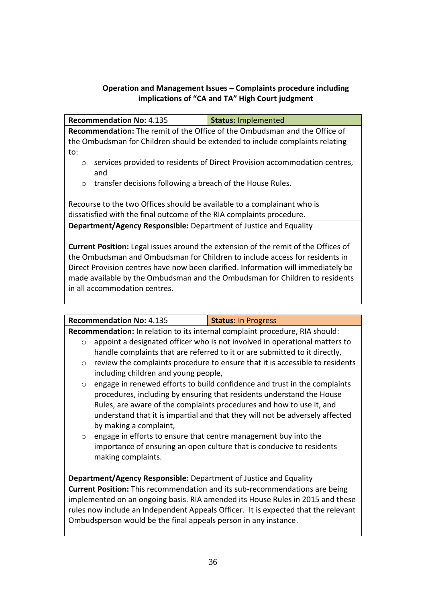## **Operation and Management Issues – Complaints procedure including implications of "CA and TA" High Court judgment**

**Recommendation No:** 4.135 **Status:** Implemented

**Recommendation:** The remit of the Office of the Ombudsman and the Office of the Ombudsman for Children should be extended to include complaints relating to:

- o services provided to residents of Direct Provision accommodation centres, and
- o transfer decisions following a breach of the House Rules.

Recourse to the two Offices should be available to a complainant who is dissatisfied with the final outcome of the RIA complaints procedure. **Department/Agency Responsible:** Department of Justice and Equality

**Current Position:** Legal issues around the extension of the remit of the Offices of the Ombudsman and Ombudsman for Children to include access for residents in Direct Provision centres have now been clarified. Information will immediately be made available by the Ombudsman and the Ombudsman for Children to residents in all accommodation centres.

|                                                                                    | <b>Recommendation No: 4.135</b>                                                                                                                                                | <b>Status: In Progress</b>                                                   |  |
|------------------------------------------------------------------------------------|--------------------------------------------------------------------------------------------------------------------------------------------------------------------------------|------------------------------------------------------------------------------|--|
|                                                                                    | Recommendation: In relation to its internal complaint procedure, RIA should:                                                                                                   |                                                                              |  |
| $\Omega$                                                                           |                                                                                                                                                                                | appoint a designated officer who is not involved in operational matters to   |  |
|                                                                                    |                                                                                                                                                                                | handle complaints that are referred to it or are submitted to it directly,   |  |
| $\circ$                                                                            |                                                                                                                                                                                | review the complaints procedure to ensure that it is accessible to residents |  |
|                                                                                    | including children and young people,                                                                                                                                           |                                                                              |  |
| $\circ$                                                                            |                                                                                                                                                                                | engage in renewed efforts to build confidence and trust in the complaints    |  |
|                                                                                    |                                                                                                                                                                                | procedures, including by ensuring that residents understand the House        |  |
|                                                                                    | Rules, are aware of the complaints procedures and how to use it, and<br>understand that it is impartial and that they will not be adversely affected<br>by making a complaint, |                                                                              |  |
|                                                                                    |                                                                                                                                                                                |                                                                              |  |
|                                                                                    |                                                                                                                                                                                |                                                                              |  |
| $\circ$                                                                            |                                                                                                                                                                                | engage in efforts to ensure that centre management buy into the              |  |
|                                                                                    | importance of ensuring an open culture that is conducive to residents                                                                                                          |                                                                              |  |
|                                                                                    | making complaints.                                                                                                                                                             |                                                                              |  |
|                                                                                    |                                                                                                                                                                                |                                                                              |  |
| <b>Department/Agency Responsible:</b> Department of Justice and Equality           |                                                                                                                                                                                |                                                                              |  |
| <b>Current Position:</b> This recommendation and its sub-recommendations are being |                                                                                                                                                                                |                                                                              |  |
| implemented on an ongoing basis. RIA amended its House Rules in 2015 and these     |                                                                                                                                                                                |                                                                              |  |
| rules now include an Independent Appeals Officer. It is expected that the relevant |                                                                                                                                                                                |                                                                              |  |
| Ombudsperson would be the final appeals person in any instance.                    |                                                                                                                                                                                |                                                                              |  |
|                                                                                    |                                                                                                                                                                                |                                                                              |  |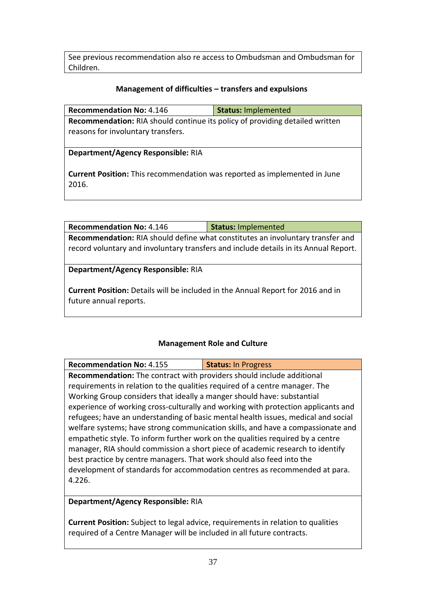See previous recommendation also re access to Ombudsman and Ombudsman for Children.

#### **Management of difficulties – transfers and expulsions**

| <b>Recommendation No: 4.146</b>                                                                                           | <b>Status: Implemented</b> |
|---------------------------------------------------------------------------------------------------------------------------|----------------------------|
| <b>Recommendation:</b> RIA should continue its policy of providing detailed written<br>reasons for involuntary transfers. |                            |
| Department/Agency Responsible: RIA                                                                                        |                            |
| <b>Current Position:</b> This recommendation was reported as implemented in June<br>2016.                                 |                            |

| <b>Recommendation No: 4.146</b>                                                        | <b>Status: Implemented</b> |
|----------------------------------------------------------------------------------------|----------------------------|
| Recommendation: RIA should define what constitutes an involuntary transfer and         |                            |
| record voluntary and involuntary transfers and include details in its Annual Report.   |                            |
|                                                                                        |                            |
| Department/Agency Responsible: RIA                                                     |                            |
|                                                                                        |                            |
| <b>Current Position:</b> Details will be included in the Annual Report for 2016 and in |                            |
| future annual reports.                                                                 |                            |
|                                                                                        |                            |

## **Management Role and Culture**

| <b>Recommendation No: 4.155</b>                                                   | <b>Status: In Progress</b>                                                 |  |
|-----------------------------------------------------------------------------------|----------------------------------------------------------------------------|--|
| Recommendation: The contract with providers should include additional             |                                                                            |  |
| requirements in relation to the qualities required of a centre manager. The       |                                                                            |  |
| Working Group considers that ideally a manger should have: substantial            |                                                                            |  |
| experience of working cross-culturally and working with protection applicants and |                                                                            |  |
| refugees; have an understanding of basic mental health issues, medical and social |                                                                            |  |
| welfare systems; have strong communication skills, and have a compassionate and   |                                                                            |  |
| empathetic style. To inform further work on the qualities required by a centre    |                                                                            |  |
| manager, RIA should commission a short piece of academic research to identify     |                                                                            |  |
| best practice by centre managers. That work should also feed into the             |                                                                            |  |
|                                                                                   | development of standards for accommodation centres as recommended at para. |  |
| 4.226.                                                                            |                                                                            |  |

# **Department/Agency Responsible:** RIA

**Current Position:** Subject to legal advice, requirements in relation to qualities required of a Centre Manager will be included in all future contracts.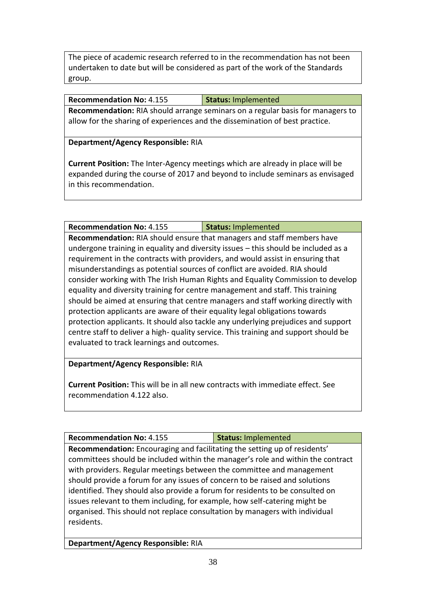The piece of academic research referred to in the recommendation has not been undertaken to date but will be considered as part of the work of the Standards group.

**Recommendation No:** 4.155 **Status:** Implemented

**Recommendation:** RIA should arrange seminars on a regular basis for managers to allow for the sharing of experiences and the dissemination of best practice.

**Department/Agency Responsible:** RIA

**Current Position:** The Inter-Agency meetings which are already in place will be expanded during the course of 2017 and beyond to include seminars as envisaged in this recommendation.

**Recommendation No:** 4.155 **Status:** Implemented **Recommendation:** RIA should ensure that managers and staff members have undergone training in equality and diversity issues – this should be included as a requirement in the contracts with providers, and would assist in ensuring that misunderstandings as potential sources of conflict are avoided. RIA should consider working with The Irish Human Rights and Equality Commission to develop equality and diversity training for centre management and staff. This training should be aimed at ensuring that centre managers and staff working directly with protection applicants are aware of their equality legal obligations towards protection applicants. It should also tackle any underlying prejudices and support centre staff to deliver a high- quality service. This training and support should be evaluated to track learnings and outcomes.

**Department/Agency Responsible:** RIA

**Current Position:** This will be in all new contracts with immediate effect. See recommendation 4.122 also.

**Recommendation No:** 4.155 **Status:** Implemented

**Recommendation:** Encouraging and facilitating the setting up of residents' committees should be included within the manager's role and within the contract with providers. Regular meetings between the committee and management should provide a forum for any issues of concern to be raised and solutions identified. They should also provide a forum for residents to be consulted on issues relevant to them including, for example, how self-catering might be organised. This should not replace consultation by managers with individual residents.

**Department/Agency Responsible:** RIA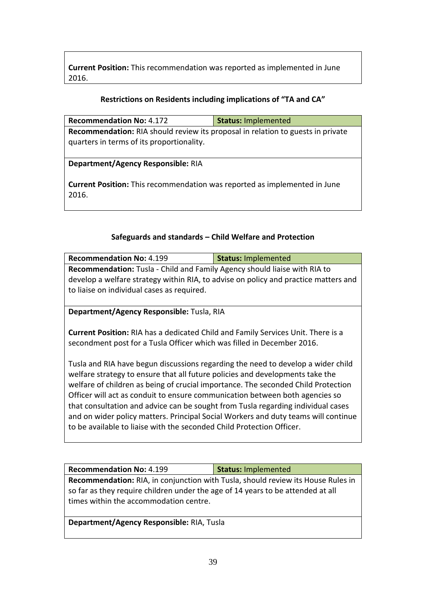**Current Position:** This recommendation was reported as implemented in June 2016.

### **Restrictions on Residents including implications of "TA and CA"**

| <b>Recommendation No: 4.172</b>                                                           | <b>Status: Implemented</b> |  |
|-------------------------------------------------------------------------------------------|----------------------------|--|
| <b>Recommendation:</b> RIA should review its proposal in relation to guests in private    |                            |  |
| quarters in terms of its proportionality.                                                 |                            |  |
| Department/Agency Responsible: RIA                                                        |                            |  |
| <b>Current Position:</b> This recommendation was reported as implemented in June<br>2016. |                            |  |

## **Safeguards and standards – Child Welfare and Protection**

| <b>Recommendation No: 4.199</b>                                                     | <b>Status: Implemented</b> |  |
|-------------------------------------------------------------------------------------|----------------------------|--|
| Recommendation: Tusla - Child and Family Agency should liaise with RIA to           |                            |  |
| develop a welfare strategy within RIA, to advise on policy and practice matters and |                            |  |
| to liaise on individual cases as required.                                          |                            |  |
|                                                                                     |                            |  |
|                                                                                     |                            |  |

# **Department/Agency Responsible:** Tusla, RIA

**Current Position:** RIA has a dedicated Child and Family Services Unit. There is a secondment post for a Tusla Officer which was filled in December 2016.

Tusla and RIA have begun discussions regarding the need to develop a wider child welfare strategy to ensure that all future policies and developments take the welfare of children as being of crucial importance. The seconded Child Protection Officer will act as conduit to ensure communication between both agencies so that consultation and advice can be sought from Tusla regarding individual cases and on wider policy matters. Principal Social Workers and duty teams will continue to be available to liaise with the seconded Child Protection Officer.

| <b>Recommendation No: 4.199</b>                                                  | <b>Status: Implemented</b> |  |
|----------------------------------------------------------------------------------|----------------------------|--|
| Recommendation: RIA, in conjunction with Tusla, should review its House Rules in |                            |  |
| so far as they require children under the age of 14 years to be attended at all  |                            |  |
| times within the accommodation centre.                                           |                            |  |
|                                                                                  |                            |  |

**Department/Agency Responsible:** RIA, Tusla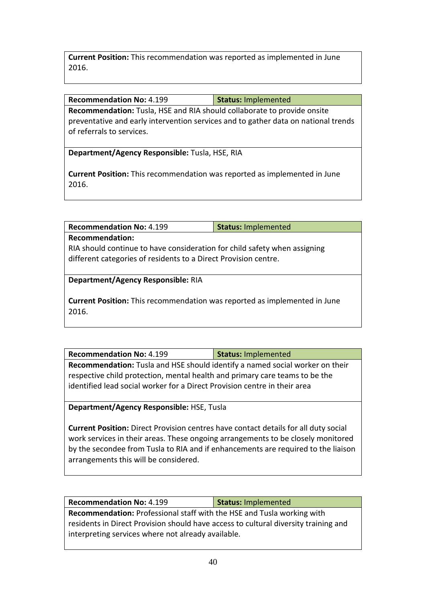**Current Position:** This recommendation was reported as implemented in June 2016.

**Recommendation No:** 4.199 **Status:** Implemented

**Recommendation:** Tusla, HSE and RIA should collaborate to provide onsite preventative and early intervention services and to gather data on national trends of referrals to services.

**Department/Agency Responsible:** Tusla, HSE, RIA

**Current Position:** This recommendation was reported as implemented in June 2016.

**Recommendation No:** 4.199 **Status:** Implemented

**Recommendation:**

RIA should continue to have consideration for child safety when assigning different categories of residents to a Direct Provision centre.

**Department/Agency Responsible:** RIA

**Current Position:** This recommendation was reported as implemented in June 2016.

**Recommendation No:** 4.199 **Status:** Implemented **Recommendation:** Tusla and HSE should identify a named social worker on their respective child protection, mental health and primary care teams to be the identified lead social worker for a Direct Provision centre in their area

**Department/Agency Responsible:** HSE, Tusla

**Current Position:** Direct Provision centres have contact details for all duty social work services in their areas. These ongoing arrangements to be closely monitored by the secondee from Tusla to RIA and if enhancements are required to the liaison arrangements this will be considered.

**Recommendation No:** 4.199 **Status:** Implemented **Recommendation:** Professional staff with the HSE and Tusla working with residents in Direct Provision should have access to cultural diversity training and interpreting services where not already available.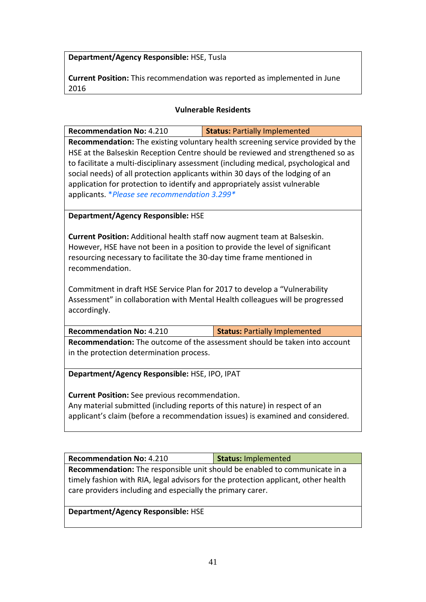**Department/Agency Responsible:** HSE, Tusla

**Current Position:** This recommendation was reported as implemented in June 2016

#### **Vulnerable Residents**

| <b>Recommendation No: 4.210</b>                                                 | <b>Status: Partially Implemented</b>                                                |  |
|---------------------------------------------------------------------------------|-------------------------------------------------------------------------------------|--|
| Recommendation: The existing voluntary health screening service provided by the |                                                                                     |  |
|                                                                                 | HSE at the Balseskin Reception Centre should be reviewed and strengthened so as     |  |
|                                                                                 | to facilitate a multi-disciplinary assessment (including medical, psychological and |  |
| social needs) of all protection applicants within 30 days of the lodging of an  |                                                                                     |  |
| application for protection to identify and appropriately assist vulnerable      |                                                                                     |  |
| applicants. * Please see recommendation 3.299*                                  |                                                                                     |  |
| <b>Department/Agency Responsible: HSE</b>                                       |                                                                                     |  |
|                                                                                 |                                                                                     |  |
| <b>Current Position:</b> Additional health staff now augment team at Balseskin. |                                                                                     |  |
| However, HSE have not been in a position to provide the level of significant    |                                                                                     |  |
| resourcing necessary to facilitate the 30-day time frame mentioned in           |                                                                                     |  |
| recommendation.                                                                 |                                                                                     |  |
|                                                                                 |                                                                                     |  |
| Commitment in draft HSE Service Plan for 2017 to develop a "Vulnerability       |                                                                                     |  |
|                                                                                 | Assessment" in collaboration with Mental Health colleagues will be progressed       |  |
| accordingly.                                                                    |                                                                                     |  |
|                                                                                 |                                                                                     |  |
| <b>Recommendation No: 4.210</b>                                                 | <b>Status: Partially Implemented</b>                                                |  |
| Recommendation: The outcome of the assessment should be taken into account      |                                                                                     |  |
| in the protection determination process.                                        |                                                                                     |  |
| Department/Agency Responsible: HSE, IPO, IPAT                                   |                                                                                     |  |
|                                                                                 |                                                                                     |  |
| <b>Current Position:</b> See previous recommendation.                           |                                                                                     |  |
| Any material submitted (including reports of this nature) in respect of an      |                                                                                     |  |
| applicant's claim (before a recommendation issues) is examined and considered.  |                                                                                     |  |
|                                                                                 |                                                                                     |  |

| <b>Recommendation No: 4.210</b>                                                    | Status: Implemented |
|------------------------------------------------------------------------------------|---------------------|
| <b>Recommendation:</b> The responsible unit should be enabled to communicate in a  |                     |
| timely fashion with RIA, legal advisors for the protection applicant, other health |                     |
| care providers including and especially the primary carer.                         |                     |

**Department/Agency Responsible:** HSE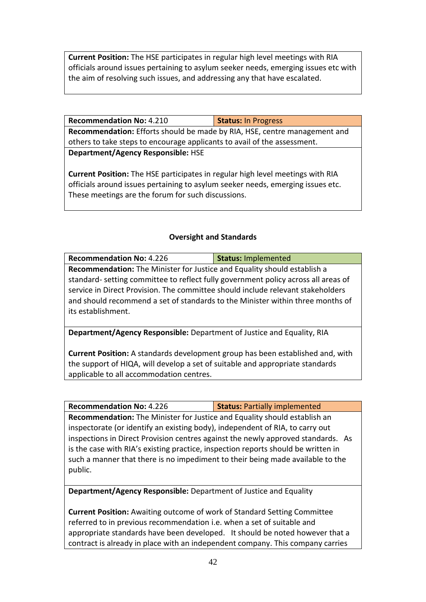**Current Position:** The HSE participates in regular high level meetings with RIA officials around issues pertaining to asylum seeker needs, emerging issues etc with the aim of resolving such issues, and addressing any that have escalated.

| <b>Recommendation No: 4.210</b>                                           | <b>Status: In Progress</b> |
|---------------------------------------------------------------------------|----------------------------|
| Recommendation: Efforts should be made by RIA, HSE, centre management and |                            |
| others to take steps to encourage applicants to avail of the assessment.  |                            |
| <b>Department/Agency Responsible: HSE</b>                                 |                            |
|                                                                           |                            |

**Current Position:** The HSE participates in regular high level meetings with RIA officials around issues pertaining to asylum seeker needs, emerging issues etc. These meetings are the forum for such discussions.

## **Oversight and Standards**

| <b>Recommendation No: 4.226</b>                                                   | <b>Status: Implemented</b> |  |
|-----------------------------------------------------------------------------------|----------------------------|--|
| <b>Recommendation:</b> The Minister for Justice and Equality should establish a   |                            |  |
| standard-setting committee to reflect fully government policy across all areas of |                            |  |
| service in Direct Provision. The committee should include relevant stakeholders   |                            |  |
| and should recommend a set of standards to the Minister within three months of    |                            |  |
| its establishment.                                                                |                            |  |
|                                                                                   |                            |  |

**Department/Agency Responsible:** Department of Justice and Equality, RIA

**Current Position:** A standards development group has been established and, with the support of HIQA, will develop a set of suitable and appropriate standards applicable to all accommodation centres.

| <b>Recommendation No: 4.226</b>                                                   | <b>Status: Partially implemented</b> |
|-----------------------------------------------------------------------------------|--------------------------------------|
| <b>Recommendation:</b> The Minister for Justice and Equality should establish an  |                                      |
| inspectorate (or identify an existing body), independent of RIA, to carry out     |                                      |
| inspections in Direct Provision centres against the newly approved standards. As  |                                      |
| is the case with RIA's existing practice, inspection reports should be written in |                                      |
| such a manner that there is no impediment to their being made available to the    |                                      |
| public.                                                                           |                                      |

**Department/Agency Responsible:** Department of Justice and Equality

**Current Position:** Awaiting outcome of work of Standard Setting Committee referred to in previous recommendation i.e. when a set of suitable and appropriate standards have been developed. It should be noted however that a contract is already in place with an independent company. This company carries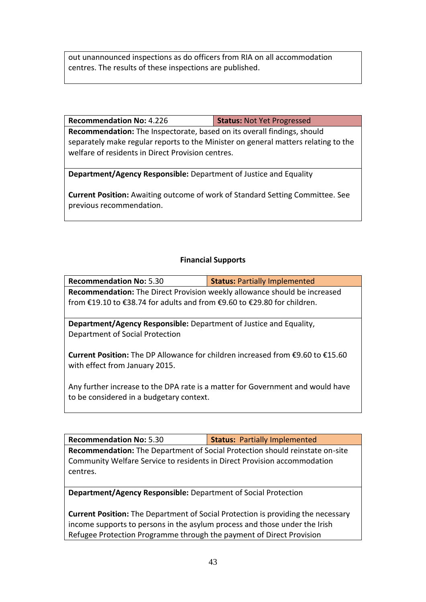out unannounced inspections as do officers from RIA on all accommodation centres. The results of these inspections are published.

| Status: Not Yet Progressed |
|----------------------------|
|                            |

**Recommendation:** The Inspectorate, based on its overall findings, should separately make regular reports to the Minister on general matters relating to the welfare of residents in Direct Provision centres.

**Department/Agency Responsible:** Department of Justice and Equality

**Current Position:** Awaiting outcome of work of Standard Setting Committee. See previous recommendation.

## **Financial Supports**

| <b>Recommendation No: 5.30</b>                                                                                   | <b>Status: Partially Implemented</b> |  |
|------------------------------------------------------------------------------------------------------------------|--------------------------------------|--|
| Recommendation: The Direct Provision weekly allowance should be increased                                        |                                      |  |
| from €19.10 to €38.74 for adults and from €9.60 to €29.80 for children.                                          |                                      |  |
|                                                                                                                  |                                      |  |
| <b>Department/Agency Responsible:</b> Department of Justice and Equality,                                        |                                      |  |
| Department of Social Protection                                                                                  |                                      |  |
| Current Position: The DP Allowance for children increased from €9.60 to €15.60<br>with effect from January 2015. |                                      |  |
|                                                                                                                  |                                      |  |

Any further increase to the DPA rate is a matter for Government and would have to be considered in a budgetary context.

| <b>Recommendation No: 5.30</b>                                                      | <b>Status: Partially Implemented</b> |  |
|-------------------------------------------------------------------------------------|--------------------------------------|--|
| <b>Recommendation:</b> The Department of Social Protection should reinstate on-site |                                      |  |
| Community Welfare Service to residents in Direct Provision accommodation            |                                      |  |
| centres.                                                                            |                                      |  |
|                                                                                     |                                      |  |

**Department/Agency Responsible:** Department of Social Protection

**Current Position:** The Department of Social Protection is providing the necessary income supports to persons in the asylum process and those under the Irish Refugee Protection Programme through the payment of Direct Provision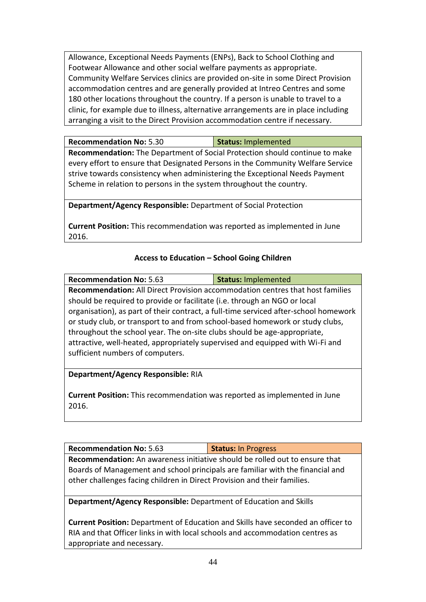Allowance, Exceptional Needs Payments (ENPs), Back to School Clothing and Footwear Allowance and other social welfare payments as appropriate. Community Welfare Services clinics are provided on-site in some Direct Provision accommodation centres and are generally provided at Intreo Centres and some 180 other locations throughout the country. If a person is unable to travel to a clinic, for example due to illness, alternative arrangements are in place including arranging a visit to the Direct Provision accommodation centre if necessary.

| <b>Recommendation No: 5.30</b> | Status: Implemented |
|--------------------------------|---------------------|
|                                |                     |

**Recommendation:** The Department of Social Protection should continue to make every effort to ensure that Designated Persons in the Community Welfare Service strive towards consistency when administering the Exceptional Needs Payment Scheme in relation to persons in the system throughout the country.

**Department/Agency Responsible:** Department of Social Protection

**Current Position:** This recommendation was reported as implemented in June 2016.

## **Access to Education – School Going Children**

| <b>Recommendation No: 5.63</b>                                                       | <b>Status: Implemented</b> |  |
|--------------------------------------------------------------------------------------|----------------------------|--|
| Recommendation: All Direct Provision accommodation centres that host families        |                            |  |
| should be required to provide or facilitate (i.e. through an NGO or local            |                            |  |
| organisation), as part of their contract, a full-time serviced after-school homework |                            |  |
| or study club, or transport to and from school-based homework or study clubs,        |                            |  |
| throughout the school year. The on-site clubs should be age-appropriate,             |                            |  |
| attractive, well-heated, appropriately supervised and equipped with Wi-Fi and        |                            |  |
| sufficient numbers of computers.                                                     |                            |  |
|                                                                                      |                            |  |
| Department/Agency Responsible: RIA                                                   |                            |  |

**Current Position:** This recommendation was reported as implemented in June 2016.

| <b>Recommendation No: 5.63</b>                                                     | <b>Status: In Progress</b> |  |
|------------------------------------------------------------------------------------|----------------------------|--|
| <b>Recommendation:</b> An awareness initiative should be rolled out to ensure that |                            |  |
| Boards of Management and school principals are familiar with the financial and     |                            |  |
| other challenges facing children in Direct Provision and their families.           |                            |  |

**Department/Agency Responsible:** Department of Education and Skills

**Current Position:** Department of Education and Skills have seconded an officer to RIA and that Officer links in with local schools and accommodation centres as appropriate and necessary.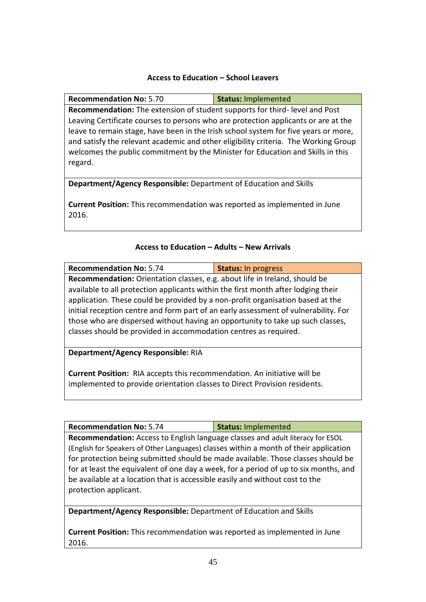#### **Access to Education – School Leavers**

**Recommendation No:** 5.70 **Status:** Implemented **Recommendation:** The extension of student supports for third- level and Post Leaving Certificate courses to persons who are protection applicants or are at the leave to remain stage, have been in the Irish school system for five years or more, and satisfy the relevant academic and other eligibility criteria. The Working Group welcomes the public commitment by the Minister for Education and Skills in this regard.

**Department/Agency Responsible:** Department of Education and Skills

**Current Position:** This recommendation was reported as implemented in June 2016.

#### **Access to Education – Adults – New Arrivals**

| <b>Recommendation No: 5.74</b>                                                      | <b>Status: In progress</b> |  |
|-------------------------------------------------------------------------------------|----------------------------|--|
| Recommendation: Orientation classes, e.g. about life in Ireland, should be          |                            |  |
| available to all protection applicants within the first month after lodging their   |                            |  |
| application. These could be provided by a non-profit organisation based at the      |                            |  |
| initial reception centre and form part of an early assessment of vulnerability. For |                            |  |
| those who are dispersed without having an opportunity to take up such classes,      |                            |  |
| classes should be provided in accommodation centres as required.                    |                            |  |
|                                                                                     |                            |  |
| Department/Agency Responsible: RIA                                                  |                            |  |
|                                                                                     |                            |  |
| <b>Current Position:</b> RIA accepts this recommendation. An initiative will be     |                            |  |
| tara barra da da basa da da dabeerta a dagaga ta Birgat Bagatata a gabaaran         |                            |  |

implemented to provide orientation classes to Direct Provision residents.

**Recommendation No:** 5.74 **Status:** Implemented **Recommendation:** Access to English language classes and adult literacy for ESOL (English for Speakers of Other Languages) classes within a month of their application for protection being submitted should be made available. Those classes should be for at least the equivalent of one day a week, for a period of up to six months, and be available at a location that is accessible easily and without cost to the protection applicant.

**Department/Agency Responsible:** Department of Education and Skills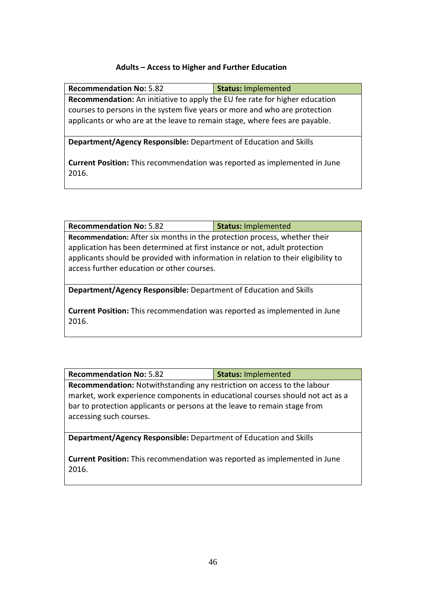#### **Adults – Access to Higher and Further Education**

| <b>Recommendation No: 5.82</b>                                                                                                                                   | <b>Status: Implemented</b> |  |
|------------------------------------------------------------------------------------------------------------------------------------------------------------------|----------------------------|--|
| <b>Recommendation:</b> An initiative to apply the EU fee rate for higher education<br>courses to persons in the system five years or more and who are protection |                            |  |
| applicants or who are at the leave to remain stage, where fees are payable.                                                                                      |                            |  |
| Department/Agency Responsible: Department of Education and Skills                                                                                                |                            |  |
| <b>Current Position:</b> This recommendation was reported as implemented in June<br>2016.                                                                        |                            |  |

| <b>Recommendation No: 5.82</b>                                                                                                                                                                                                                                                              | <b>Status: Implemented</b> |
|---------------------------------------------------------------------------------------------------------------------------------------------------------------------------------------------------------------------------------------------------------------------------------------------|----------------------------|
| Recommendation: After six months in the protection process, whether their<br>application has been determined at first instance or not, adult protection<br>applicants should be provided with information in relation to their eligibility to<br>access further education or other courses. |                            |
|                                                                                                                                                                                                                                                                                             |                            |
| Department/Agency Responsible: Department of Education and Skills                                                                                                                                                                                                                           |                            |

**Current Position:** This recommendation was reported as implemented in June 2016.

| <b>Recommendation No: 5.82</b>                                                                                                                                                        | <b>Status: Implemented</b> |  |
|---------------------------------------------------------------------------------------------------------------------------------------------------------------------------------------|----------------------------|--|
| Recommendation: Notwithstanding any restriction on access to the labour                                                                                                               |                            |  |
| market, work experience components in educational courses should not act as a<br>bar to protection applicants or persons at the leave to remain stage from<br>accessing such courses. |                            |  |

**Department/Agency Responsible:** Department of Education and Skills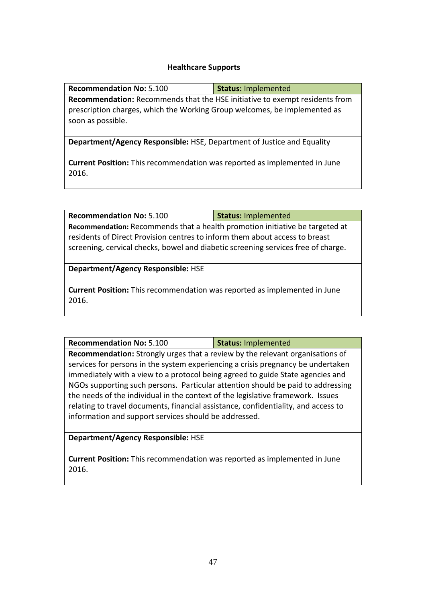## **Healthcare Supports**

| <b>Recommendation No: 5.100</b>                                                                                                                                                      | <b>Status: Implemented</b> |  |
|--------------------------------------------------------------------------------------------------------------------------------------------------------------------------------------|----------------------------|--|
| <b>Recommendation:</b> Recommends that the HSE initiative to exempt residents from<br>prescription charges, which the Working Group welcomes, be implemented as<br>soon as possible. |                            |  |
| <b>Department/Agency Responsible: HSE, Department of Justice and Equality</b>                                                                                                        |                            |  |
| <b>Current Position:</b> This recommendation was reported as implemented in June<br>2016.                                                                                            |                            |  |

| <b>Recommendation No: 5.100</b>                                                   | <b>Status: Implemented</b> |  |
|-----------------------------------------------------------------------------------|----------------------------|--|
| Recommendation: Recommends that a health promotion initiative be targeted at      |                            |  |
| residents of Direct Provision centres to inform them about access to breast       |                            |  |
| screening, cervical checks, bowel and diabetic screening services free of charge. |                            |  |
| <b>Department/Agency Responsible: HSE</b>                                         |                            |  |
| <b>Current Position:</b> This recommendation was reported as implemented in June  |                            |  |
| 2016.                                                                             |                            |  |

| <b>Recommendation No: 5.100</b>                                                      | <b>Status: Implemented</b> |  |
|--------------------------------------------------------------------------------------|----------------------------|--|
| <b>Recommendation:</b> Strongly urges that a review by the relevant organisations of |                            |  |
| services for persons in the system experiencing a crisis pregnancy be undertaken     |                            |  |
| immediately with a view to a protocol being agreed to guide State agencies and       |                            |  |
| NGOs supporting such persons. Particular attention should be paid to addressing      |                            |  |
| the needs of the individual in the context of the legislative framework. Issues      |                            |  |
| relating to travel documents, financial assistance, confidentiality, and access to   |                            |  |
| information and support services should be addressed.                                |                            |  |

**Department/Agency Responsible:** HSE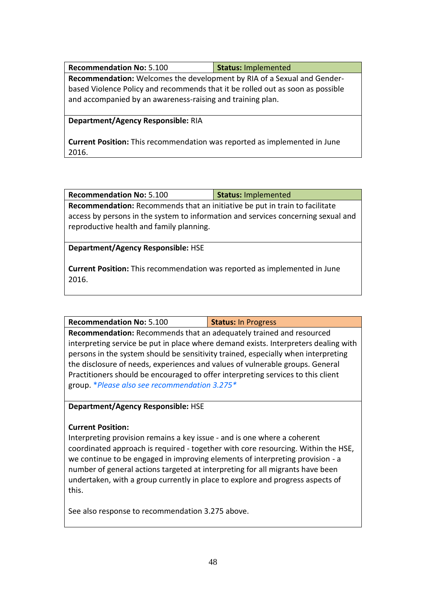| <b>Recommendation No: 5.100</b>                                                | Status: Implemented |  |
|--------------------------------------------------------------------------------|---------------------|--|
| Recommendation: Welcomes the development by RIA of a Sexual and Gender-        |                     |  |
| based Violence Policy and recommends that it be rolled out as soon as possible |                     |  |
| and accompanied by an awareness-raising and training plan.                     |                     |  |

#### **Department/Agency Responsible:** RIA

**Current Position:** This recommendation was reported as implemented in June 2016.

| <b>Recommendation No: 5.100</b> | Status: Implemented |
|---------------------------------|---------------------|
|                                 |                     |

**Recommendation:** Recommends that an initiative be put in train to facilitate access by persons in the system to information and services concerning sexual and reproductive health and family planning.

**Department/Agency Responsible:** HSE

**Current Position:** This recommendation was reported as implemented in June 2016.

**Recommendation No:** 5.100 **Status:** In Progress

**Recommendation:** Recommends that an adequately trained and resourced interpreting service be put in place where demand exists. Interpreters dealing with persons in the system should be sensitivity trained, especially when interpreting the disclosure of needs, experiences and values of vulnerable groups. General Practitioners should be encouraged to offer interpreting services to this client group. \**Please also see recommendation 3.275\**

**Department/Agency Responsible:** HSE

## **Current Position:**

Interpreting provision remains a key issue - and is one where a coherent coordinated approach is required - together with core resourcing. Within the HSE, we continue to be engaged in improving elements of interpreting provision - a number of general actions targeted at interpreting for all migrants have been undertaken, with a group currently in place to explore and progress aspects of this.

See also response to recommendation 3.275 above.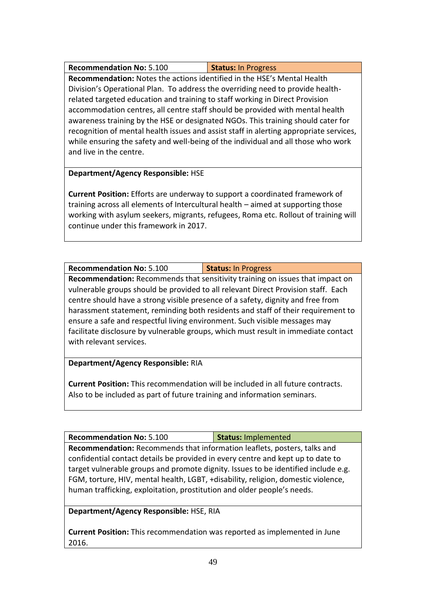| <b>Recommendation No: 5.100</b>                                                        | <b>Status: In Progress</b> |  |
|----------------------------------------------------------------------------------------|----------------------------|--|
| Recommendation: Notes the actions identified in the HSE's Mental Health                |                            |  |
| Division's Operational Plan. To address the overriding need to provide health-         |                            |  |
| related targeted education and training to staff working in Direct Provision           |                            |  |
| accommodation centres, all centre staff should be provided with mental health          |                            |  |
| awareness training by the HSE or designated NGOs. This training should cater for       |                            |  |
| recognition of mental health issues and assist staff in alerting appropriate services, |                            |  |
| while ensuring the safety and well-being of the individual and all those who work      |                            |  |
| and live in the centre.                                                                |                            |  |

## **Department/Agency Responsible:** HSE

**Current Position:** Efforts are underway to support a coordinated framework of training across all elements of Intercultural health – aimed at supporting those working with asylum seekers, migrants, refugees, Roma etc. Rollout of training will continue under this framework in 2017.

# **Recommendation No: 5.100 <br>Status: In Progress**

**Recommendation:** Recommends that sensitivity training on issues that impact on vulnerable groups should be provided to all relevant Direct Provision staff. Each centre should have a strong visible presence of a safety, dignity and free from harassment statement, reminding both residents and staff of their requirement to ensure a safe and respectful living environment. Such visible messages may facilitate disclosure by vulnerable groups, which must result in immediate contact with relevant services.

## **Department/Agency Responsible:** RIA

**Current Position:** This recommendation will be included in all future contracts. Also to be included as part of future training and information seminars.

Recommendation No: 5.100 **Status:** Implemented

**Recommendation:** Recommends that information leaflets, posters, talks and confidential contact details be provided in every centre and kept up to date to target vulnerable groups and promote dignity. Issues to be identified include e.g. FGM, torture, HIV, mental health, LGBT, +disability, religion, domestic violence, human trafficking, exploitation, prostitution and older people's needs.

**Department/Agency Responsible:** HSE, RIA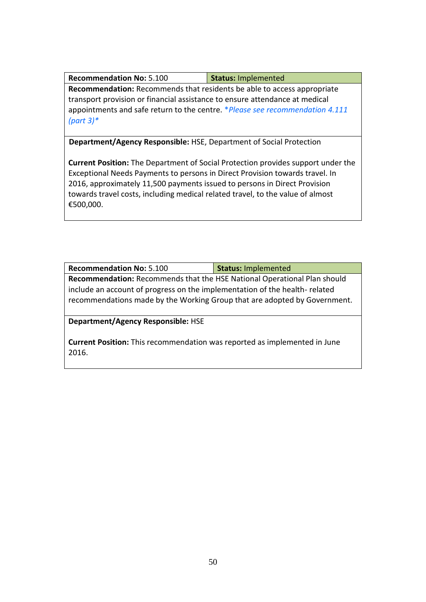| <b>Recommendation No: 5.100</b> | Status: Implemented |
|---------------------------------|---------------------|
|---------------------------------|---------------------|

**Recommendation:** Recommends that residents be able to access appropriate transport provision or financial assistance to ensure attendance at medical appointments and safe return to the centre. \**Please see recommendation 4.111 (part 3)\**

**Department/Agency Responsible:** HSE, Department of Social Protection

**Current Position:** The Department of Social Protection provides support under the Exceptional Needs Payments to persons in Direct Provision towards travel. In 2016, approximately 11,500 payments issued to persons in Direct Provision towards travel costs, including medical related travel, to the value of almost €500,000.

| <b>Recommendation No: 5.100</b>                                                                                                                                                                                                     | <b>Status: Implemented</b> |
|-------------------------------------------------------------------------------------------------------------------------------------------------------------------------------------------------------------------------------------|----------------------------|
| Recommendation: Recommends that the HSE National Operational Plan should<br>include an account of progress on the implementation of the health-related<br>recommendations made by the Working Group that are adopted by Government. |                            |
|                                                                                                                                                                                                                                     |                            |
| <b>Department/Agency Responsible: HSE</b>                                                                                                                                                                                           |                            |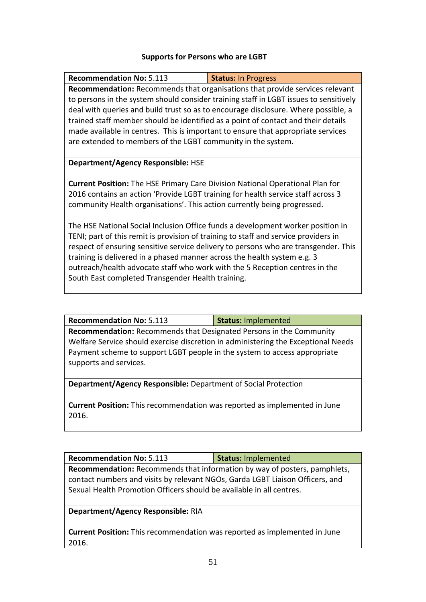#### **Supports for Persons who are LGBT**

| <b>Recommendation No: 5.113</b>                                                      | <b>Status: In Progress</b>                                                            |  |
|--------------------------------------------------------------------------------------|---------------------------------------------------------------------------------------|--|
|                                                                                      | <b>Recommendation:</b> Recommends that organisations that provide services relevant   |  |
|                                                                                      | to persons in the system should consider training staff in LGBT issues to sensitively |  |
|                                                                                      | deal with queries and build trust so as to encourage disclosure. Where possible, a    |  |
|                                                                                      | trained staff member should be identified as a point of contact and their details     |  |
|                                                                                      | made available in centres. This is important to ensure that appropriate services      |  |
| are extended to members of the LGBT community in the system.                         |                                                                                       |  |
|                                                                                      |                                                                                       |  |
| Department/Agency Responsible: HSE                                                   |                                                                                       |  |
|                                                                                      |                                                                                       |  |
| <b>Current Position:</b> The HSE Primary Care Division National Operational Plan for |                                                                                       |  |
| 2016 contains an action 'Provide LGBT training for health service staff across 3     |                                                                                       |  |
| community Health organisations'. This action currently being progressed.             |                                                                                       |  |
|                                                                                      |                                                                                       |  |
| The HSE National Social Inclusion Office funds a development worker position in      |                                                                                       |  |
| TENI; part of this remit is provision of training to staff and service providers in  |                                                                                       |  |
| respect of ensuring sensitive service delivery to persons who are transgender. This  |                                                                                       |  |
| training is delivered in a phased manner across the health system e.g. 3             |                                                                                       |  |
| outreach/health advocate staff who work with the 5 Reception centres in the          |                                                                                       |  |
| South East completed Transgender Health training.                                    |                                                                                       |  |
|                                                                                      |                                                                                       |  |

**Recommendation No:** 5.113 **Status:** Implemented

**Recommendation:** Recommends that Designated Persons in the Community Welfare Service should exercise discretion in administering the Exceptional Needs Payment scheme to support LGBT people in the system to access appropriate supports and services.

**Department/Agency Responsible:** Department of Social Protection

**Current Position:** This recommendation was reported as implemented in June 2016.

| <b>Recommendation No: 5.113</b>                                               | Status: Implemented |  |
|-------------------------------------------------------------------------------|---------------------|--|
| Recommendation: Recommends that information by way of posters, pamphlets,     |                     |  |
| contact numbers and visits by relevant NGOs, Garda LGBT Liaison Officers, and |                     |  |
| Sexual Health Promotion Officers should be available in all centres.          |                     |  |

**Department/Agency Responsible:** RIA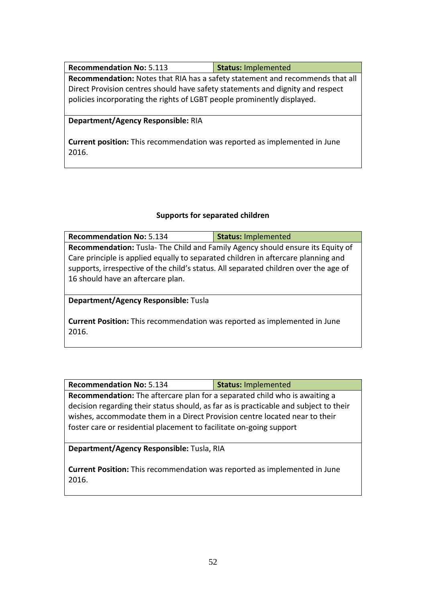| <b>Recommendation No: 5.113</b>                                                | <b>Status: Implemented</b> |  |
|--------------------------------------------------------------------------------|----------------------------|--|
| Recommendation: Notes that RIA has a safety statement and recommends that all  |                            |  |
| Direct Provision centres should have safety statements and dignity and respect |                            |  |
| policies incorporating the rights of LGBT people prominently displayed.        |                            |  |
|                                                                                |                            |  |

#### **Department/Agency Responsible:** RIA

**Current position:** This recommendation was reported as implemented in June 2016.

#### **Supports for separated children**

| <b>Recommendation No: 5.134</b>                                                      | <b>Status: Implemented</b> |  |
|--------------------------------------------------------------------------------------|----------------------------|--|
| Recommendation: Tusla- The Child and Family Agency should ensure its Equity of       |                            |  |
| Care principle is applied equally to separated children in aftercare planning and    |                            |  |
| supports, irrespective of the child's status. All separated children over the age of |                            |  |
| 16 should have an aftercare plan.                                                    |                            |  |
|                                                                                      |                            |  |

**Department/Agency Responsible:** Tusla

**Current Position:** This recommendation was reported as implemented in June 2016.

| <b>Recommendation No: 5.134</b> | Status: Implemented |
|---------------------------------|---------------------|
|---------------------------------|---------------------|

**Recommendation:** The aftercare plan for a separated child who is awaiting a decision regarding their status should, as far as is practicable and subject to their wishes, accommodate them in a Direct Provision centre located near to their foster care or residential placement to facilitate on-going support

**Department/Agency Responsible:** Tusla, RIA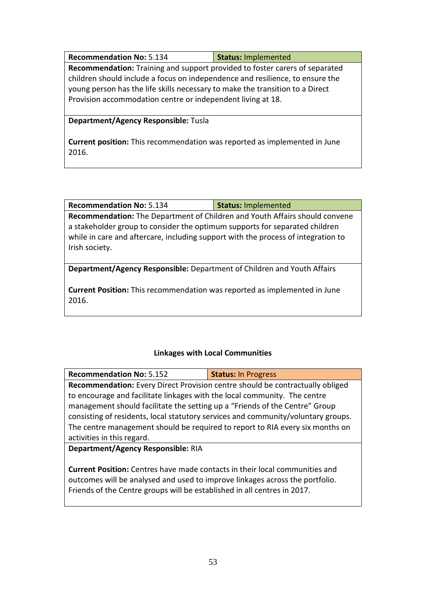| <b>Recommendation No: 5.134</b>                                               | <b>Status: Implemented</b> |  |
|-------------------------------------------------------------------------------|----------------------------|--|
| Recommendation: Training and support provided to foster carers of separated   |                            |  |
| children should include a focus on independence and resilience, to ensure the |                            |  |
| young person has the life skills necessary to make the transition to a Direct |                            |  |
| Provision accommodation centre or independent living at 18.                   |                            |  |

#### **Department/Agency Responsible:** Tusla

**Current position:** This recommendation was reported as implemented in June 2016.

| <b>Recommendation No: 5.134</b> | Status: Implemented |
|---------------------------------|---------------------|
|---------------------------------|---------------------|

**Recommendation:** The Department of Children and Youth Affairs should convene a stakeholder group to consider the optimum supports for separated children while in care and aftercare, including support with the process of integration to Irish society.

**Department/Agency Responsible:** Department of Children and Youth Affairs

**Current Position:** This recommendation was reported as implemented in June 2016.

## **Linkages with Local Communities**

| <b>Recommendation No: 5.152</b>                                                   | <b>Status: In Progress</b> |  |
|-----------------------------------------------------------------------------------|----------------------------|--|
| Recommendation: Every Direct Provision centre should be contractually obliged     |                            |  |
| to encourage and facilitate linkages with the local community. The centre         |                            |  |
| management should facilitate the setting up a "Friends of the Centre" Group       |                            |  |
| consisting of residents, local statutory services and community/voluntary groups. |                            |  |
| The centre management should be required to report to RIA every six months on     |                            |  |
| activities in this regard.                                                        |                            |  |
| Department/Agency Responsible: RIA                                                |                            |  |

**Current Position:** Centres have made contacts in their local communities and outcomes will be analysed and used to improve linkages across the portfolio. Friends of the Centre groups will be established in all centres in 2017.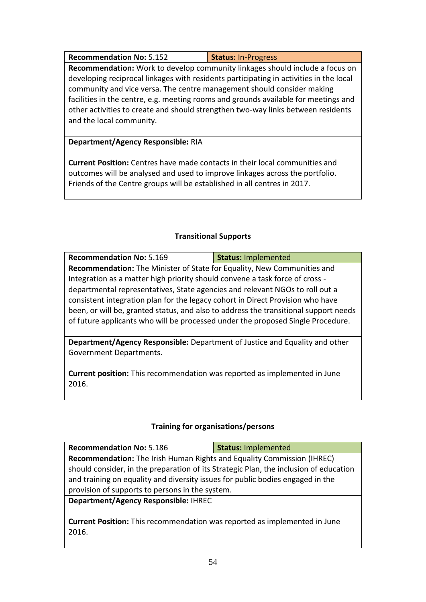**Recommendation No: 5.152 Status: In-Progress** 

**Recommendation:** Work to develop community linkages should include a focus on developing reciprocal linkages with residents participating in activities in the local community and vice versa. The centre management should consider making facilities in the centre, e.g. meeting rooms and grounds available for meetings and other activities to create and should strengthen two-way links between residents and the local community.

## **Department/Agency Responsible:** RIA

**Current Position:** Centres have made contacts in their local communities and outcomes will be analysed and used to improve linkages across the portfolio. Friends of the Centre groups will be established in all centres in 2017.

## **Transitional Supports**

| <b>Recommendation No: 5.169</b>                                                      | <b>Status: Implemented</b> |  |
|--------------------------------------------------------------------------------------|----------------------------|--|
| Recommendation: The Minister of State for Equality, New Communities and              |                            |  |
| Integration as a matter high priority should convene a task force of cross -         |                            |  |
| departmental representatives, State agencies and relevant NGOs to roll out a         |                            |  |
| consistent integration plan for the legacy cohort in Direct Provision who have       |                            |  |
| been, or will be, granted status, and also to address the transitional support needs |                            |  |
| of future applicants who will be processed under the proposed Single Procedure.      |                            |  |
|                                                                                      |                            |  |

**Department/Agency Responsible:** Department of Justice and Equality and other Government Departments.

**Current position:** This recommendation was reported as implemented in June 2016.

## **Training for organisations/persons**

| <b>Recommendation No: 5.186</b>                                                       | <b>Status: Implemented</b> |  |
|---------------------------------------------------------------------------------------|----------------------------|--|
| <b>Recommendation:</b> The Irish Human Rights and Equality Commission (IHREC)         |                            |  |
| should consider, in the preparation of its Strategic Plan, the inclusion of education |                            |  |
| and training on equality and diversity issues for public bodies engaged in the        |                            |  |
| provision of supports to persons in the system.                                       |                            |  |
| Department/Agency Responsible: IHREC                                                  |                            |  |
|                                                                                       |                            |  |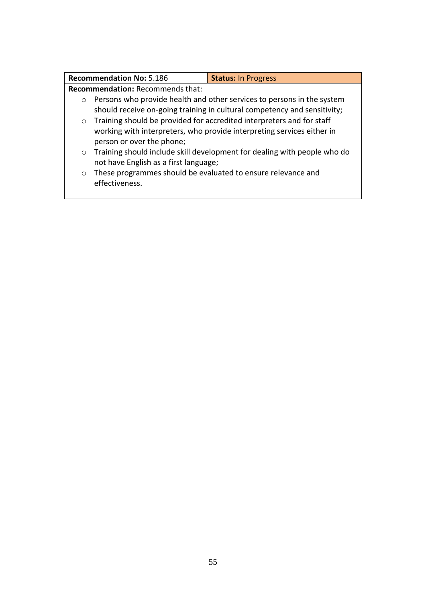|                                                                                   | <b>Recommendation No: 5.186</b>                              | <b>Status: In Progress</b>                                               |
|-----------------------------------------------------------------------------------|--------------------------------------------------------------|--------------------------------------------------------------------------|
| <b>Recommendation: Recommends that:</b>                                           |                                                              |                                                                          |
| Persons who provide health and other services to persons in the system<br>$\circ$ |                                                              |                                                                          |
| should receive on-going training in cultural competency and sensitivity;          |                                                              |                                                                          |
| Training should be provided for accredited interpreters and for staff<br>$\circ$  |                                                              |                                                                          |
| working with interpreters, who provide interpreting services either in            |                                                              |                                                                          |
|                                                                                   | person or over the phone;                                    |                                                                          |
| $\circ$                                                                           |                                                              | Training should include skill development for dealing with people who do |
|                                                                                   | not have English as a first language;                        |                                                                          |
| $\circ$                                                                           | These programmes should be evaluated to ensure relevance and |                                                                          |
|                                                                                   | effectiveness.                                               |                                                                          |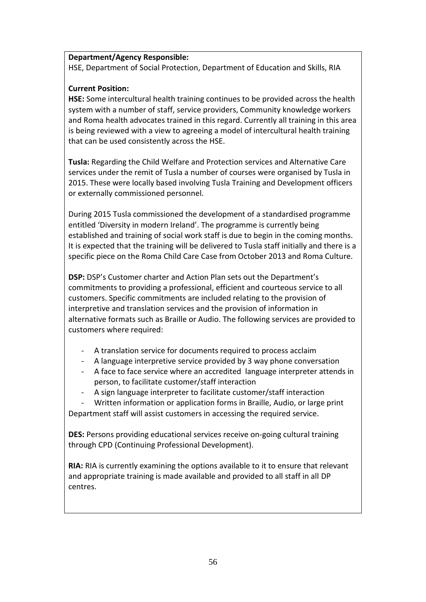#### **Department/Agency Responsible:**

HSE, Department of Social Protection, Department of Education and Skills, RIA

### **Current Position:**

**HSE:** Some intercultural health training continues to be provided across the health system with a number of staff, service providers, Community knowledge workers and Roma health advocates trained in this regard. Currently all training in this area is being reviewed with a view to agreeing a model of intercultural health training that can be used consistently across the HSE.

**Tusla:** Regarding the Child Welfare and Protection services and Alternative Care services under the remit of Tusla a number of courses were organised by Tusla in 2015. These were locally based involving Tusla Training and Development officers or externally commissioned personnel.

During 2015 Tusla commissioned the development of a standardised programme entitled 'Diversity in modern Ireland'. The programme is currently being established and training of social work staff is due to begin in the coming months. It is expected that the training will be delivered to Tusla staff initially and there is a specific piece on the Roma Child Care Case from October 2013 and Roma Culture.

**DSP:** DSP's Customer charter and Action Plan sets out the Department's commitments to providing a professional, efficient and courteous service to all customers. Specific commitments are included relating to the provision of interpretive and translation services and the provision of information in alternative formats such as Braille or Audio. The following services are provided to customers where required:

- A translation service for documents required to process acclaim
- A language interpretive service provided by 3 way phone conversation
- A face to face service where an accredited language interpreter attends in person, to facilitate customer/staff interaction
- A sign language interpreter to facilitate customer/staff interaction

Written information or application forms in Braille, Audio, or large print Department staff will assist customers in accessing the required service.

**DES:** Persons providing educational services receive on-going cultural training through CPD (Continuing Professional Development).

**RIA:** RIA is currently examining the options available to it to ensure that relevant and appropriate training is made available and provided to all staff in all DP centres.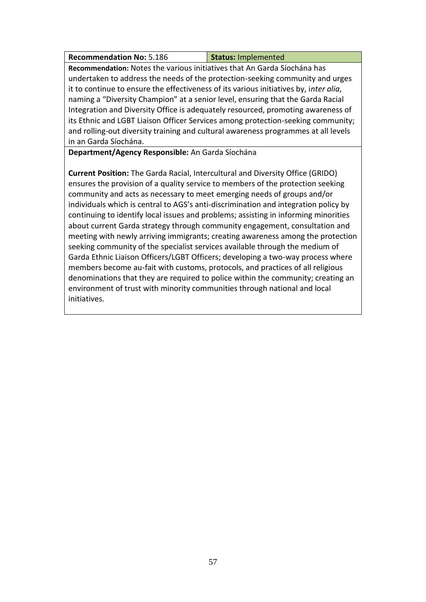| <b>Recommendation No: 5.186</b> | Status: Implemented |
|---------------------------------|---------------------|
|---------------------------------|---------------------|

**Recommendation:** Notes the various initiatives that An Garda Síochána has undertaken to address the needs of the protection-seeking community and urges it to continue to ensure the effectiveness of its various initiatives by, i*nter alia*, naming a "Diversity Champion" at a senior level, ensuring that the Garda Racial Integration and Diversity Office is adequately resourced, promoting awareness of its Ethnic and LGBT Liaison Officer Services among protection-seeking community; and rolling-out diversity training and cultural awareness programmes at all levels in an Garda Síochána.

**Department/Agency Responsible:** An Garda Síochána

**Current Position:** The Garda Racial, Intercultural and Diversity Office (GRIDO) ensures the provision of a quality service to members of the protection seeking community and acts as necessary to meet emerging needs of groups and/or individuals which is central to AGS's anti-discrimination and integration policy by continuing to identify local issues and problems; assisting in informing minorities about current Garda strategy through community engagement, consultation and meeting with newly arriving immigrants; creating awareness among the protection seeking community of the specialist services available through the medium of Garda Ethnic Liaison Officers/LGBT Officers; developing a two-way process where members become au-fait with customs, protocols, and practices of all religious denominations that they are required to police within the community; creating an environment of trust with minority communities through national and local initiatives.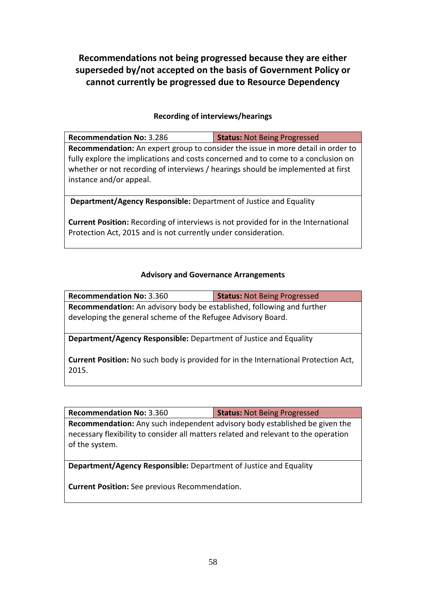**Recommendations not being progressed because they are either superseded by/not accepted on the basis of Government Policy or cannot currently be progressed due to Resource Dependency**

### **Recording of interviews/hearings**

| <b>Recommendation No: 3.286</b>                                                                                                                                                                                                                                                      | <b>Status: Not Being Progressed</b> |
|--------------------------------------------------------------------------------------------------------------------------------------------------------------------------------------------------------------------------------------------------------------------------------------|-------------------------------------|
| Recommendation: An expert group to consider the issue in more detail in order to<br>fully explore the implications and costs concerned and to come to a conclusion on<br>whether or not recording of interviews / hearings should be implemented at first<br>instance and/or appeal. |                                     |
| <b>Department/Agency Responsible:</b> Department of Justice and Equality                                                                                                                                                                                                             |                                     |

**Current Position:** Recording of interviews is not provided for in the International Protection Act, 2015 and is not currently under consideration.

#### **Advisory and Governance Arrangements**

| <b>Recommendation No: 3.360</b>                                               | <b>Status: Not Being Progressed</b> |  |
|-------------------------------------------------------------------------------|-------------------------------------|--|
| <b>Recommendation:</b> An advisory body be established, following and further |                                     |  |
| developing the general scheme of the Refugee Advisory Board.                  |                                     |  |
|                                                                               |                                     |  |

**Department/Agency Responsible:** Department of Justice and Equality

**Current Position:** No such body is provided for in the International Protection Act, 2015.

**Recommendation No:** 3.360 **Status:** Not Being Progressed

**Recommendation:** Any such independent advisory body established be given the necessary flexibility to consider all matters related and relevant to the operation of the system.

**Department/Agency Responsible:** Department of Justice and Equality

**Current Position:** See previous Recommendation.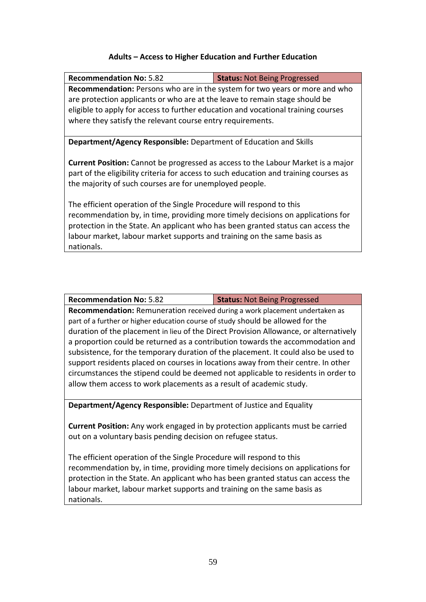#### **Adults – Access to Higher Education and Further Education**

| <b>Recommendation No: 5.82</b>                                                          | <b>Status: Not Being Progressed</b> |  |
|-----------------------------------------------------------------------------------------|-------------------------------------|--|
| Recommendation: Persons who are in the system for two years or more and who             |                                     |  |
| are protection applicants or who are at the leave to remain stage should be             |                                     |  |
| eligible to apply for access to further education and vocational training courses       |                                     |  |
| where they satisfy the relevant course entry requirements.                              |                                     |  |
|                                                                                         |                                     |  |
| <b>Department/Agency Responsible:</b> Department of Education and Skills                |                                     |  |
|                                                                                         |                                     |  |
| <b>Current Position:</b> Cannot be progressed as access to the Labour Market is a major |                                     |  |
| part of the eligibility criteria for access to such education and training courses as   |                                     |  |
| the majority of such courses are for unemployed people.                                 |                                     |  |
|                                                                                         |                                     |  |
| The efficient operation of the Single Procedure will respond to this                    |                                     |  |
| recommendation by, in time, providing more timely decisions on applications for         |                                     |  |
| protection in the State. An applicant who has been granted status can access the        |                                     |  |
| labour market, labour market supports and training on the same basis as                 |                                     |  |
| nationals.                                                                              |                                     |  |
|                                                                                         |                                     |  |

**Recommendation No:** 5.82 **Status:** Not Being Progressed

**Recommendation:** Remuneration received during a work placement undertaken as part of a further or higher education course of study should be allowed for the duration of the placement in lieu of the Direct Provision Allowance, or alternatively a proportion could be returned as a contribution towards the accommodation and subsistence, for the temporary duration of the placement. It could also be used to support residents placed on courses in locations away from their centre. In other circumstances the stipend could be deemed not applicable to residents in order to allow them access to work placements as a result of academic study.

**Department/Agency Responsible:** Department of Justice and Equality

**Current Position:** Any work engaged in by protection applicants must be carried out on a voluntary basis pending decision on refugee status.

The efficient operation of the Single Procedure will respond to this recommendation by, in time, providing more timely decisions on applications for protection in the State. An applicant who has been granted status can access the labour market, labour market supports and training on the same basis as nationals.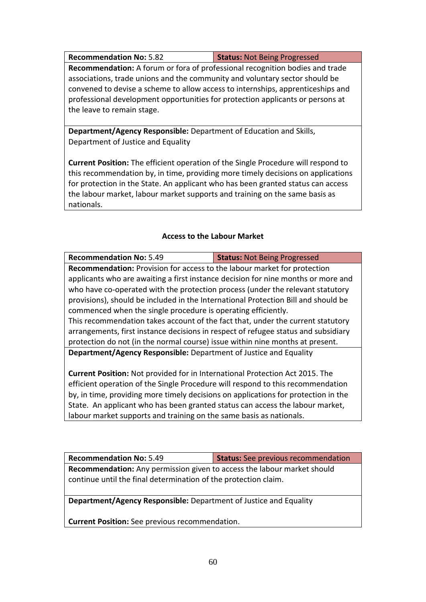**Recommendation No:** 5.82 **Status:** Not Being Progressed

**Recommendation:** A forum or fora of professional recognition bodies and trade associations, trade unions and the community and voluntary sector should be convened to devise a scheme to allow access to internships, apprenticeships and professional development opportunities for protection applicants or persons at the leave to remain stage.

**Department/Agency Responsible:** Department of Education and Skills, Department of Justice and Equality

**Current Position:** The efficient operation of the Single Procedure will respond to this recommendation by, in time, providing more timely decisions on applications for protection in the State. An applicant who has been granted status can access the labour market, labour market supports and training on the same basis as nationals.

## **Access to the Labour Market**

| <b>Recommendation No: 5.49</b>                                                                                                                                         | <b>Status: Not Being Progressed</b> |  |
|------------------------------------------------------------------------------------------------------------------------------------------------------------------------|-------------------------------------|--|
| <b>Recommendation:</b> Provision for access to the labour market for protection                                                                                        |                                     |  |
| applicants who are awaiting a first instance decision for nine months or more and                                                                                      |                                     |  |
| who have co-operated with the protection process (under the relevant statutory                                                                                         |                                     |  |
| provisions), should be included in the International Protection Bill and should be                                                                                     |                                     |  |
| commenced when the single procedure is operating efficiently.                                                                                                          |                                     |  |
| This recommendation takes account of the fact that, under the current statutory                                                                                        |                                     |  |
| arrangements, first instance decisions in respect of refugee status and subsidiary                                                                                     |                                     |  |
| protection do not (in the normal course) issue within nine months at present.                                                                                          |                                     |  |
| <b>Department/Agency Responsible:</b> Department of Justice and Equality                                                                                               |                                     |  |
|                                                                                                                                                                        |                                     |  |
| <b>Current Position:</b> Not provided for in International Protection Act 2015. The<br>efficient operation of the Single Procedure will respond to this recommendation |                                     |  |

by, in time, providing more timely decisions on applications for protection in the State. An applicant who has been granted status can access the labour market, labour market supports and training on the same basis as nationals.

**Recommendation No:** 5.49 **Status:** See previous recommendation **Recommendation:** Any permission given to access the labour market should continue until the final determination of the protection claim.

**Department/Agency Responsible:** Department of Justice and Equality

**Current Position:** See previous recommendation.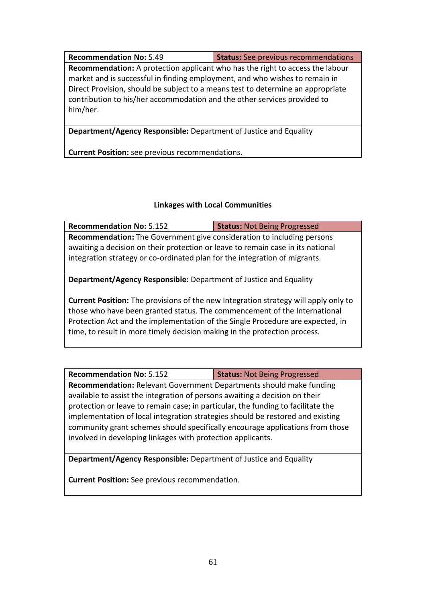**Recommendation No:** 5.49 **Status:** See previous recommendations **Recommendation:** A protection applicant who has the right to access the labour market and is successful in finding employment, and who wishes to remain in Direct Provision, should be subject to a means test to determine an appropriate contribution to his/her accommodation and the other services provided to him/her.

**Department/Agency Responsible:** Department of Justice and Equality

**Current Position:** see previous recommendations.

## **Linkages with Local Communities**

| <b>Recommendation No: 5.152</b>                                                     | <b>Status: Not Being Progressed</b> |  |
|-------------------------------------------------------------------------------------|-------------------------------------|--|
| <b>Recommendation:</b> The Government give consideration to including persons       |                                     |  |
| awaiting a decision on their protection or leave to remain case in its national     |                                     |  |
| integration strategy or co-ordinated plan for the integration of migrants.          |                                     |  |
|                                                                                     |                                     |  |
| <b>Department/Agency Responsible:</b> Department of Justice and Equality            |                                     |  |
|                                                                                     |                                     |  |
| Current Position: The provisions of the new Integration strategy will apply only to |                                     |  |
| those who have been granted status. The commencement of the International           |                                     |  |
| Protection Act and the implementation of the Single Procedure are expected, in      |                                     |  |
| time, to result in more timely decision making in the protection process.           |                                     |  |
|                                                                                     |                                     |  |

**Recommendation No:** 5.152 **Status:** Not Being Progressed

**Recommendation:** Relevant Government Departments should make funding available to assist the integration of persons awaiting a decision on their protection or leave to remain case; in particular, the funding to facilitate the implementation of local integration strategies should be restored and existing community grant schemes should specifically encourage applications from those involved in developing linkages with protection applicants.

**Department/Agency Responsible:** Department of Justice and Equality

**Current Position:** See previous recommendation.